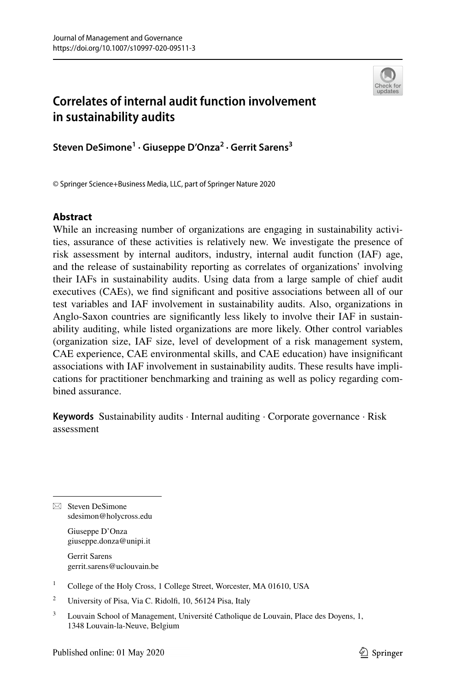

# **Correlates of internal audit function involvement in sustainability audits**

**Steven DeSimone1 · Giuseppe D'Onza<sup>2</sup> · Gerrit Sarens3**

© Springer Science+Business Media, LLC, part of Springer Nature 2020

# **Abstract**

While an increasing number of organizations are engaging in sustainability activities, assurance of these activities is relatively new. We investigate the presence of risk assessment by internal auditors, industry, internal audit function (IAF) age, and the release of sustainability reporting as correlates of organizations' involving their IAFs in sustainability audits. Using data from a large sample of chief audit executives (CAEs), we fnd signifcant and positive associations between all of our test variables and IAF involvement in sustainability audits. Also, organizations in Anglo-Saxon countries are signifcantly less likely to involve their IAF in sustainability auditing, while listed organizations are more likely. Other control variables (organization size, IAF size, level of development of a risk management system, CAE experience, CAE environmental skills, and CAE education) have insignifcant associations with IAF involvement in sustainability audits. These results have implications for practitioner benchmarking and training as well as policy regarding combined assurance.

**Keywords** Sustainability audits · Internal auditing · Corporate governance · Risk assessment

 $\boxtimes$  Steven DeSimone sdesimon@holycross.edu

> Giuseppe D'Onza giuseppe.donza@unipi.it

Gerrit Sarens gerrit.sarens@uclouvain.be

- <sup>1</sup> College of the Holy Cross, 1 College Street, Worcester, MA 01610, USA
- <sup>2</sup> University of Pisa, Via C. Ridolfi, 10, 56124 Pisa, Italy
- <sup>3</sup> Louvain School of Management, Université Catholique de Louvain, Place des Doyens, 1, 1348 Louvain-la-Neuve, Belgium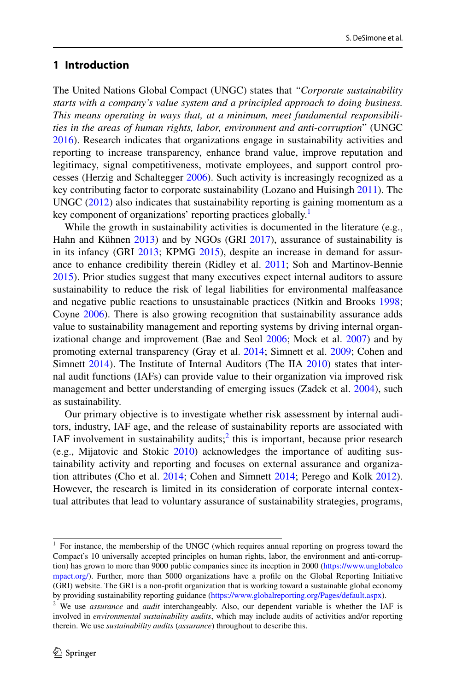# **1 Introduction**

The United Nations Global Compact (UNGC) states that *"Corporate sustainability starts with a company's value system and a principled approach to doing business. This means operating in ways that, at a minimum, meet fundamental responsibilities in the areas of human rights, labor, environment and anti*-*corruption*" (UNGC [2016](#page-30-0)). Research indicates that organizations engage in sustainability activities and reporting to increase transparency, enhance brand value, improve reputation and legitimacy, signal competitiveness, motivate employees, and support control processes (Herzig and Schaltegger [2006\)](#page-27-0). Such activity is increasingly recognized as a key contributing factor to corporate sustainability (Lozano and Huisingh [2011](#page-28-0)). The UNGC  $(2012)$  $(2012)$  also indicates that sustainability reporting is gaining momentum as a key component of organizations' reporting practices globally.<sup>[1](#page-1-0)</sup>

While the growth in sustainability activities is documented in the literature (e.g., Hahn and Kühnen [2013](#page-27-1)) and by NGOs (GRI [2017\)](#page-27-2), assurance of sustainability is in its infancy (GRI [2013](#page-26-0); KPMG [2015](#page-27-3)), despite an increase in demand for assurance to enhance credibility therein (Ridley et al. [2011;](#page-28-1) Soh and Martinov-Bennie [2015](#page-29-1)). Prior studies suggest that many executives expect internal auditors to assure sustainability to reduce the risk of legal liabilities for environmental malfeasance and negative public reactions to unsustainable practices (Nitkin and Brooks [1998;](#page-28-2) Coyne [2006](#page-26-1)). There is also growing recognition that sustainability assurance adds value to sustainability management and reporting systems by driving internal organizational change and improvement (Bae and Seol [2006;](#page-25-0) Mock et al. [2007\)](#page-28-3) and by promoting external transparency (Gray et al. [2014](#page-27-4); Simnett et al. [2009;](#page-29-2) Cohen and Simnett [2014\)](#page-26-2). The Institute of Internal Auditors (The IIA [2010\)](#page-29-3) states that internal audit functions (IAFs) can provide value to their organization via improved risk management and better understanding of emerging issues (Zadek et al. [2004](#page-30-1)), such as sustainability.

Our primary objective is to investigate whether risk assessment by internal auditors, industry, IAF age, and the release of sustainability reports are associated with IAF involvement in sustainability audits; $\frac{1}{2}$  this is important, because prior research (e.g., Mijatovic and Stokic [2010](#page-28-4)) acknowledges the importance of auditing sustainability activity and reporting and focuses on external assurance and organization attributes (Cho et al. [2014](#page-26-3); Cohen and Simnett [2014;](#page-26-2) Perego and Kolk [2012\)](#page-28-5). However, the research is limited in its consideration of corporate internal contextual attributes that lead to voluntary assurance of sustainability strategies, programs,

<span id="page-1-0"></span> $1$  For instance, the membership of the UNGC (which requires annual reporting on progress toward the Compact's 10 universally accepted principles on human rights, labor, the environment and anti-corruption) has grown to more than 9000 public companies since its inception in 2000 ([https://www.unglobalco](https://www.unglobalcompact.org/) [mpact.org/](https://www.unglobalcompact.org/)). Further, more than 5000 organizations have a profle on the Global Reporting Initiative (GRI) website. The GRI is a non-proft organization that is working toward a sustainable global economy by providing sustainability reporting guidance [\(https://www.globalreporting.org/Pages/default.aspx](https://www.globalreporting.org/Pages/default.aspx)).

<span id="page-1-1"></span><sup>2</sup> We use *assurance* and *audit* interchangeably. Also, our dependent variable is whether the IAF is involved in *environmental sustainability audits*, which may include audits of activities and/or reporting therein. We use *sustainability audits* (*assurance*) throughout to describe this.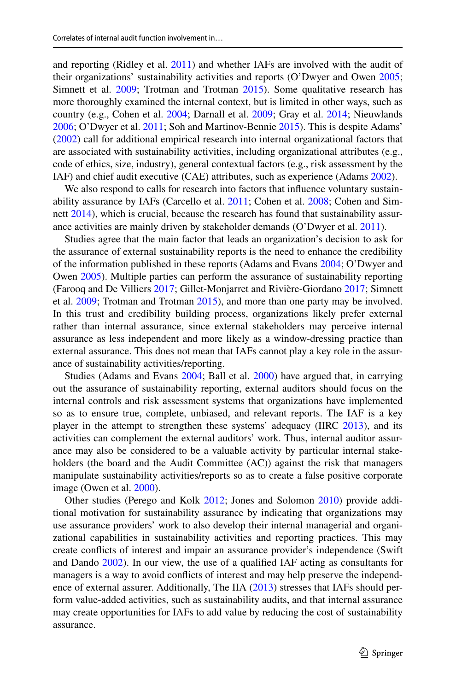and reporting (Ridley et al. [2011\)](#page-28-1) and whether IAFs are involved with the audit of their organizations' sustainability activities and reports (O'Dwyer and Owen [2005;](#page-28-6) Simnett et al. [2009;](#page-29-2) Trotman and Trotman [2015](#page-29-4)). Some qualitative research has more thoroughly examined the internal context, but is limited in other ways, such as country (e.g., Cohen et al. [2004;](#page-26-4) Darnall et al. [2009](#page-26-5); Gray et al. [2014;](#page-27-4) Nieuwlands [2006](#page-28-7); O'Dwyer et al. [2011;](#page-28-8) Soh and Martinov-Bennie [2015\)](#page-29-1). This is despite Adams' [\(2002](#page-25-1)) call for additional empirical research into internal organizational factors that are associated with sustainability activities, including organizational attributes (e.g., code of ethics, size, industry), general contextual factors (e.g., risk assessment by the IAF) and chief audit executive (CAE) attributes, such as experience (Adams [2002\)](#page-25-1).

We also respond to calls for research into factors that infuence voluntary sustainability assurance by IAFs (Carcello et al. [2011;](#page-26-6) Cohen et al. [2008;](#page-26-7) Cohen and Sim-nett [2014](#page-26-2)), which is crucial, because the research has found that sustainability assurance activities are mainly driven by stakeholder demands (O'Dwyer et al. [2011](#page-28-8)).

Studies agree that the main factor that leads an organization's decision to ask for the assurance of external sustainability reports is the need to enhance the credibility of the information published in these reports (Adams and Evans [2004;](#page-25-2) O'Dwyer and Owen [2005\)](#page-28-6). Multiple parties can perform the assurance of sustainability reporting (Farooq and De Villiers [2017](#page-26-8); Gillet-Monjarret and Rivière-Giordano [2017](#page-26-9); Simnett et al. [2009](#page-29-2); Trotman and Trotman [2015\)](#page-29-4), and more than one party may be involved. In this trust and credibility building process, organizations likely prefer external rather than internal assurance, since external stakeholders may perceive internal assurance as less independent and more likely as a window-dressing practice than external assurance. This does not mean that IAFs cannot play a key role in the assurance of sustainability activities/reporting.

Studies (Adams and Evans [2004;](#page-25-2) Ball et al. [2000](#page-25-3)) have argued that, in carrying out the assurance of sustainability reporting, external auditors should focus on the internal controls and risk assessment systems that organizations have implemented so as to ensure true, complete, unbiased, and relevant reports. The IAF is a key player in the attempt to strengthen these systems' adequacy (IIRC [2013\)](#page-27-5), and its activities can complement the external auditors' work. Thus, internal auditor assurance may also be considered to be a valuable activity by particular internal stakeholders (the board and the Audit Committee (AC)) against the risk that managers manipulate sustainability activities/reports so as to create a false positive corporate image (Owen et al. [2000](#page-28-9)).

Other studies (Perego and Kolk [2012;](#page-28-5) Jones and Solomon [2010\)](#page-27-6) provide additional motivation for sustainability assurance by indicating that organizations may use assurance providers' work to also develop their internal managerial and organizational capabilities in sustainability activities and reporting practices. This may create conficts of interest and impair an assurance provider's independence (Swift and Dando [2002\)](#page-29-5). In our view, the use of a qualifed IAF acting as consultants for managers is a way to avoid conficts of interest and may help preserve the independence of external assurer. Additionally, The IIA ([2013\)](#page-29-6) stresses that IAFs should perform value-added activities, such as sustainability audits, and that internal assurance may create opportunities for IAFs to add value by reducing the cost of sustainability assurance.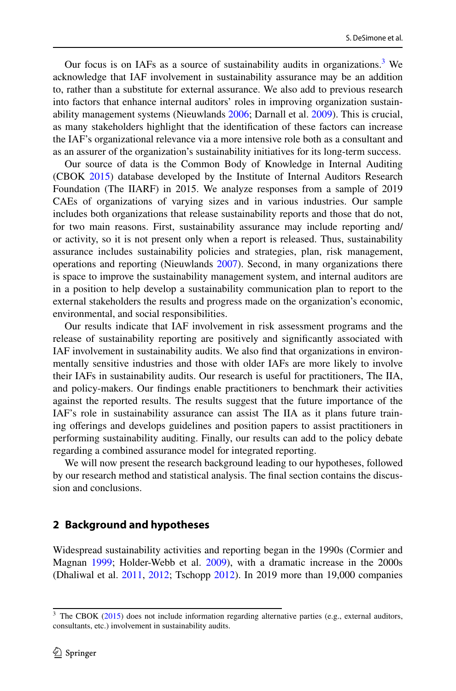Our focus is on IAFs as a source of sustainability audits in organizations.<sup>[3](#page-3-0)</sup> We acknowledge that IAF involvement in sustainability assurance may be an addition to, rather than a substitute for external assurance. We also add to previous research into factors that enhance internal auditors' roles in improving organization sustainability management systems (Nieuwlands [2006](#page-28-7); Darnall et al. [2009](#page-26-5)). This is crucial, as many stakeholders highlight that the identifcation of these factors can increase the IAF's organizational relevance via a more intensive role both as a consultant and as an assurer of the organization's sustainability initiatives for its long-term success.

Our source of data is the Common Body of Knowledge in Internal Auditing (CBOK [2015](#page-26-10)) database developed by the Institute of Internal Auditors Research Foundation (The IIARF) in 2015. We analyze responses from a sample of 2019 CAEs of organizations of varying sizes and in various industries. Our sample includes both organizations that release sustainability reports and those that do not, for two main reasons. First, sustainability assurance may include reporting and/ or activity, so it is not present only when a report is released. Thus, sustainability assurance includes sustainability policies and strategies, plan, risk management, operations and reporting (Nieuwlands [2007](#page-28-10)). Second, in many organizations there is space to improve the sustainability management system, and internal auditors are in a position to help develop a sustainability communication plan to report to the external stakeholders the results and progress made on the organization's economic, environmental, and social responsibilities.

Our results indicate that IAF involvement in risk assessment programs and the release of sustainability reporting are positively and signifcantly associated with IAF involvement in sustainability audits. We also fnd that organizations in environmentally sensitive industries and those with older IAFs are more likely to involve their IAFs in sustainability audits. Our research is useful for practitioners, The IIA, and policy-makers. Our fndings enable practitioners to benchmark their activities against the reported results. The results suggest that the future importance of the IAF's role in sustainability assurance can assist The IIA as it plans future training oferings and develops guidelines and position papers to assist practitioners in performing sustainability auditing. Finally, our results can add to the policy debate regarding a combined assurance model for integrated reporting.

We will now present the research background leading to our hypotheses, followed by our research method and statistical analysis. The fnal section contains the discussion and conclusions.

### **2 Background and hypotheses**

Widespread sustainability activities and reporting began in the 1990s (Cormier and Magnan [1999](#page-26-11); Holder-Webb et al. [2009\)](#page-27-7), with a dramatic increase in the 2000s (Dhaliwal et al. [2011](#page-26-12), [2012](#page-26-13); Tschopp [2012](#page-29-7)). In 2019 more than 19,000 companies

<span id="page-3-0"></span> $3$  The CBOK ([2015\)](#page-26-10) does not include information regarding alternative parties (e.g., external auditors, consultants, etc.) involvement in sustainability audits.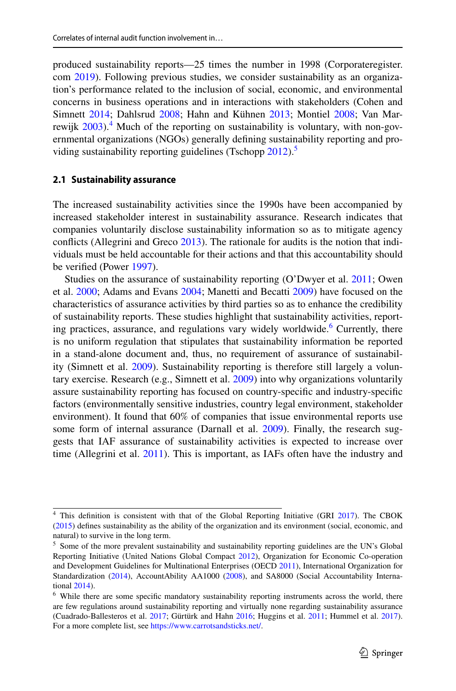produced sustainability reports—25 times the number in 1998 (Corporateregister. com [2019\)](#page-26-14). Following previous studies, we consider sustainability as an organization's performance related to the inclusion of social, economic, and environmental concerns in business operations and in interactions with stakeholders (Cohen and Simnett [2014;](#page-26-2) Dahlsrud [2008;](#page-26-15) Hahn and Kühnen [2013;](#page-27-1) Montiel [2008](#page-28-11); Van Marrewijk  $2003$ <sup>4</sup>. Much of the reporting on sustainability is voluntary, with non-governmental organizations (NGOs) generally defning sustainability reporting and pro-viding sustainability reporting guidelines (Tschopp [2012\)](#page-29-7).<sup>[5](#page-4-1)</sup>

# **2.1 Sustainability assurance**

The increased sustainability activities since the 1990s have been accompanied by increased stakeholder interest in sustainability assurance. Research indicates that companies voluntarily disclose sustainability information so as to mitigate agency conficts (Allegrini and Greco [2013](#page-25-4)). The rationale for audits is the notion that individuals must be held accountable for their actions and that this accountability should be verifed (Power [1997\)](#page-28-12).

Studies on the assurance of sustainability reporting (O'Dwyer et al. [2011;](#page-28-8) Owen et al. [2000;](#page-28-9) Adams and Evans [2004](#page-25-2); Manetti and Becatti [2009](#page-28-13)) have focused on the characteristics of assurance activities by third parties so as to enhance the credibility of sustainability reports. These studies highlight that sustainability activities, report-ing practices, assurance, and regulations vary widely worldwide.<sup>[6](#page-4-2)</sup> Currently, there is no uniform regulation that stipulates that sustainability information be reported in a stand-alone document and, thus, no requirement of assurance of sustainability (Simnett et al. [2009](#page-29-2)). Sustainability reporting is therefore still largely a voluntary exercise. Research (e.g., Simnett et al. [2009\)](#page-29-2) into why organizations voluntarily assure sustainability reporting has focused on country-specifc and industry-specifc factors (environmentally sensitive industries, country legal environment, stakeholder environment). It found that 60% of companies that issue environmental reports use some form of internal assurance (Darnall et al. [2009](#page-26-5)). Finally, the research suggests that IAF assurance of sustainability activities is expected to increase over time (Allegrini et al. [2011\)](#page-25-5). This is important, as IAFs often have the industry and

<span id="page-4-0"></span><sup>&</sup>lt;sup>4</sup> This definition is consistent with that of the Global Reporting Initiative (GRI [2017\)](#page-27-2). The CBOK ([2015\)](#page-26-10) defnes sustainability as the ability of the organization and its environment (social, economic, and natural) to survive in the long term.

<span id="page-4-1"></span> $<sup>5</sup>$  Some of the more prevalent sustainability and sustainability reporting guidelines are the UN's Global</sup> Reporting Initiative (United Nations Global Compact [2012](#page-29-0)), Organization for Economic Co-operation and Development Guidelines for Multinational Enterprises (OECD [2011](#page-28-14)), International Organization for Standardization [\(2014](#page-27-8)), AccountAbility AA1000 ([2008\)](#page-25-6), and SA8000 (Social Accountability International [2014](#page-29-8)).

<span id="page-4-2"></span><sup>&</sup>lt;sup>6</sup> While there are some specific mandatory sustainability reporting instruments across the world, there are few regulations around sustainability reporting and virtually none regarding sustainability assurance (Cuadrado-Ballesteros et al. [2017](#page-26-16); Gürtürk and Hahn [2016;](#page-27-9) Huggins et al. [2011](#page-27-10); Hummel et al. [2017\)](#page-27-11). For a more complete list, see [https://www.carrotsandsticks.net/.](https://www.carrotsandsticks.net/)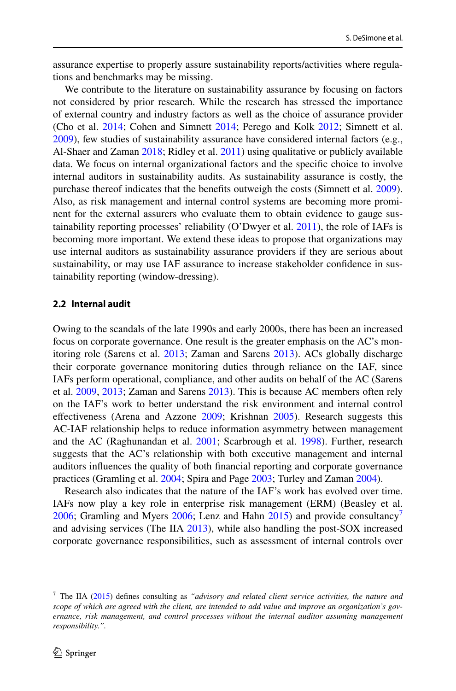assurance expertise to properly assure sustainability reports/activities where regulations and benchmarks may be missing.

We contribute to the literature on sustainability assurance by focusing on factors not considered by prior research. While the research has stressed the importance of external country and industry factors as well as the choice of assurance provider (Cho et al. [2014;](#page-26-3) Cohen and Simnett [2014;](#page-26-2) Perego and Kolk [2012;](#page-28-5) Simnett et al. [2009](#page-29-2)), few studies of sustainability assurance have considered internal factors (e.g., Al-Shaer and Zaman [2018;](#page-25-7) Ridley et al. [2011\)](#page-28-1) using qualitative or publicly available data. We focus on internal organizational factors and the specifc choice to involve internal auditors in sustainability audits. As sustainability assurance is costly, the purchase thereof indicates that the benefts outweigh the costs (Simnett et al. [2009\)](#page-29-2). Also, as risk management and internal control systems are becoming more prominent for the external assurers who evaluate them to obtain evidence to gauge sustainability reporting processes' reliability (O'Dwyer et al.  $2011$ ), the role of IAFs is becoming more important. We extend these ideas to propose that organizations may use internal auditors as sustainability assurance providers if they are serious about sustainability, or may use IAF assurance to increase stakeholder confdence in sustainability reporting (window-dressing).

### **2.2 Internal audit**

Owing to the scandals of the late 1990s and early 2000s, there has been an increased focus on corporate governance. One result is the greater emphasis on the AC's monitoring role (Sarens et al. [2013;](#page-29-9) Zaman and Sarens [2013\)](#page-30-3). ACs globally discharge their corporate governance monitoring duties through reliance on the IAF, since IAFs perform operational, compliance, and other audits on behalf of the AC (Sarens et al. [2009](#page-29-10), [2013;](#page-29-9) Zaman and Sarens [2013](#page-30-3)). This is because AC members often rely on the IAF's work to better understand the risk environment and internal control efectiveness (Arena and Azzone [2009](#page-25-8); Krishnan [2005\)](#page-27-12). Research suggests this AC-IAF relationship helps to reduce information asymmetry between management and the AC (Raghunandan et al. [2001](#page-28-15); Scarbrough et al. [1998\)](#page-29-11). Further, research suggests that the AC's relationship with both executive management and internal auditors infuences the quality of both fnancial reporting and corporate governance practices (Gramling et al. [2004](#page-27-13); Spira and Page [2003;](#page-29-12) Turley and Zaman [2004\)](#page-29-13).

Research also indicates that the nature of the IAF's work has evolved over time. IAFs now play a key role in enterprise risk management (ERM) (Beasley et al. [2006](#page-25-9); Gramling and Myers [2006;](#page-27-14) Lenz and Hahn  $2015$ ) and provide consultancy<sup>[7](#page-5-0)</sup> and advising services (The IIA [2013](#page-29-6)), while also handling the post-SOX increased corporate governance responsibilities, such as assessment of internal controls over

<span id="page-5-0"></span><sup>7</sup> The IIA [\(2015](#page-29-14)) defnes consulting as *"advisory and related client service activities, the nature and scope of which are agreed with the client, are intended to add value and improve an organization's governance, risk management, and control processes without the internal auditor assuming management responsibility.".*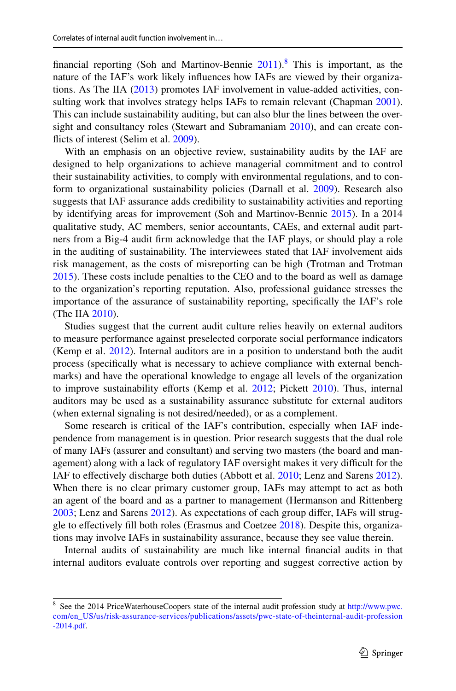financial reporting (Soh and Martinov-Bennie  $2011$ ).<sup>8</sup> This is important, as the nature of the IAF's work likely infuences how IAFs are viewed by their organizations. As The IIA ([2013\)](#page-29-6) promotes IAF involvement in value-added activities, con-sulting work that involves strategy helps IAFs to remain relevant (Chapman [2001\)](#page-26-17). This can include sustainability auditing, but can also blur the lines between the oversight and consultancy roles (Stewart and Subramaniam [2010](#page-29-16)), and can create conficts of interest (Selim et al. [2009\)](#page-29-17).

With an emphasis on an objective review, sustainability audits by the IAF are designed to help organizations to achieve managerial commitment and to control their sustainability activities, to comply with environmental regulations, and to conform to organizational sustainability policies (Darnall et al. [2009](#page-26-5)). Research also suggests that IAF assurance adds credibility to sustainability activities and reporting by identifying areas for improvement (Soh and Martinov-Bennie [2015](#page-29-1)). In a 2014 qualitative study, AC members, senior accountants, CAEs, and external audit partners from a Big-4 audit frm acknowledge that the IAF plays, or should play a role in the auditing of sustainability. The interviewees stated that IAF involvement aids risk management, as the costs of misreporting can be high (Trotman and Trotman [2015](#page-29-4)). These costs include penalties to the CEO and to the board as well as damage to the organization's reporting reputation. Also, professional guidance stresses the importance of the assurance of sustainability reporting, specifcally the IAF's role (The IIA [2010\)](#page-29-3).

Studies suggest that the current audit culture relies heavily on external auditors to measure performance against preselected corporate social performance indicators (Kemp et al. [2012](#page-27-16)). Internal auditors are in a position to understand both the audit process (specifcally what is necessary to achieve compliance with external benchmarks) and have the operational knowledge to engage all levels of the organization to improve sustainability efforts (Kemp et al. [2012](#page-27-16); Pickett [2010](#page-28-16)). Thus, internal auditors may be used as a sustainability assurance substitute for external auditors (when external signaling is not desired/needed), or as a complement.

Some research is critical of the IAF's contribution, especially when IAF independence from management is in question. Prior research suggests that the dual role of many IAFs (assurer and consultant) and serving two masters (the board and management) along with a lack of regulatory IAF oversight makes it very difficult for the IAF to efectively discharge both duties (Abbott et al. [2010;](#page-25-10) Lenz and Sarens [2012\)](#page-28-17). When there is no clear primary customer group, IAFs may attempt to act as both an agent of the board and as a partner to management (Hermanson and Rittenberg [2003](#page-27-17); Lenz and Sarens [2012](#page-28-17)). As expectations of each group difer, IAFs will struggle to efectively fll both roles (Erasmus and Coetzee [2018](#page-26-18)). Despite this, organizations may involve IAFs in sustainability assurance, because they see value therein.

Internal audits of sustainability are much like internal fnancial audits in that internal auditors evaluate controls over reporting and suggest corrective action by

<span id="page-6-0"></span><sup>8</sup> See the 2014 PriceWaterhouseCoopers state of the internal audit profession study at [http://www.pwc.](http://www.pwc.com/en_US/us/risk-assurance-services/publications/assets/pwc-state-of-theinternal-audit-profession-2014.pdf) [com/en\\_US/us/risk-assurance-services/publications/assets/pwc-state-of-theinternal-audit-profession](http://www.pwc.com/en_US/us/risk-assurance-services/publications/assets/pwc-state-of-theinternal-audit-profession-2014.pdf) [-2014.pdf](http://www.pwc.com/en_US/us/risk-assurance-services/publications/assets/pwc-state-of-theinternal-audit-profession-2014.pdf).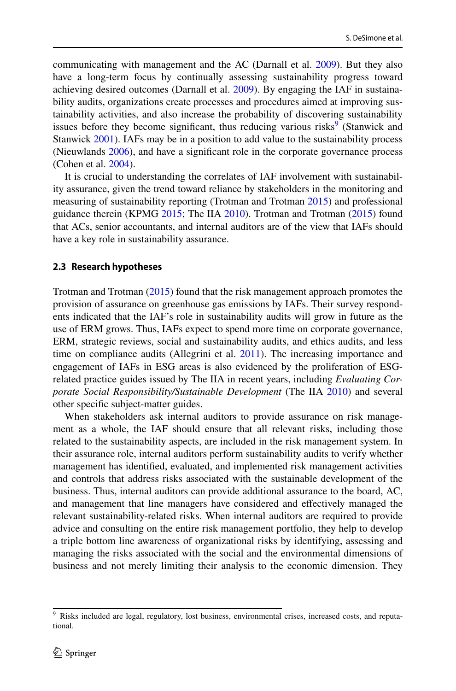communicating with management and the AC (Darnall et al. [2009](#page-26-5)). But they also have a long-term focus by continually assessing sustainability progress toward achieving desired outcomes (Darnall et al. [2009\)](#page-26-5). By engaging the IAF in sustainability audits, organizations create processes and procedures aimed at improving sustainability activities, and also increase the probability of discovering sustainability issues before they become significant, thus reducing various risks<sup>[9](#page-7-0)</sup> (Stanwick and Stanwick [2001](#page-29-18)). IAFs may be in a position to add value to the sustainability process (Nieuwlands [2006\)](#page-28-7), and have a signifcant role in the corporate governance process (Cohen et al. [2004\)](#page-26-4).

It is crucial to understanding the correlates of IAF involvement with sustainability assurance, given the trend toward reliance by stakeholders in the monitoring and measuring of sustainability reporting (Trotman and Trotman [2015\)](#page-29-4) and professional guidance therein (KPMG [2015;](#page-27-3) The IIA [2010](#page-29-3)). Trotman and Trotman [\(2015](#page-29-4)) found that ACs, senior accountants, and internal auditors are of the view that IAFs should have a key role in sustainability assurance.

### **2.3 Research hypotheses**

Trotman and Trotman ([2015\)](#page-29-4) found that the risk management approach promotes the provision of assurance on greenhouse gas emissions by IAFs. Their survey respondents indicated that the IAF's role in sustainability audits will grow in future as the use of ERM grows. Thus, IAFs expect to spend more time on corporate governance, ERM, strategic reviews, social and sustainability audits, and ethics audits, and less time on compliance audits (Allegrini et al. [2011](#page-25-5)). The increasing importance and engagement of IAFs in ESG areas is also evidenced by the proliferation of ESGrelated practice guides issued by The IIA in recent years, including *Evaluating Corporate Social Responsibility/Sustainable Development* (The IIA [2010](#page-29-3)) and several other specifc subject-matter guides.

When stakeholders ask internal auditors to provide assurance on risk management as a whole, the IAF should ensure that all relevant risks, including those related to the sustainability aspects, are included in the risk management system. In their assurance role, internal auditors perform sustainability audits to verify whether management has identifed, evaluated, and implemented risk management activities and controls that address risks associated with the sustainable development of the business. Thus, internal auditors can provide additional assurance to the board, AC, and management that line managers have considered and efectively managed the relevant sustainability-related risks. When internal auditors are required to provide advice and consulting on the entire risk management portfolio, they help to develop a triple bottom line awareness of organizational risks by identifying, assessing and managing the risks associated with the social and the environmental dimensions of business and not merely limiting their analysis to the economic dimension. They

<span id="page-7-0"></span><sup>9</sup> Risks included are legal, regulatory, lost business, environmental crises, increased costs, and reputational.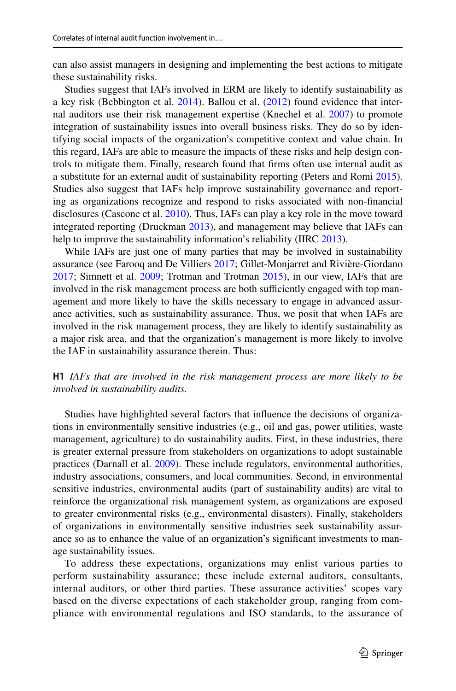can also assist managers in designing and implementing the best actions to mitigate these sustainability risks.

Studies suggest that IAFs involved in ERM are likely to identify sustainability as a key risk (Bebbington et al. [2014](#page-25-11)). Ballou et al. [\(2012](#page-25-12)) found evidence that internal auditors use their risk management expertise (Knechel et al. [2007](#page-27-18)) to promote integration of sustainability issues into overall business risks. They do so by identifying social impacts of the organization's competitive context and value chain. In this regard, IAFs are able to measure the impacts of these risks and help design controls to mitigate them. Finally, research found that frms often use internal audit as a substitute for an external audit of sustainability reporting (Peters and Romi [2015\)](#page-28-18). Studies also suggest that IAFs help improve sustainability governance and reporting as organizations recognize and respond to risks associated with non-fnancial disclosures (Cascone et al. [2010](#page-26-19)). Thus, IAFs can play a key role in the move toward integrated reporting (Druckman [2013](#page-26-20)), and management may believe that IAFs can help to improve the sustainability information's reliability (IIRC [2013\)](#page-27-5).

While IAFs are just one of many parties that may be involved in sustainability assurance (see Farooq and De Villiers [2017](#page-26-8); Gillet-Monjarret and Rivière-Giordano [2017](#page-26-9); Simnett et al. [2009;](#page-29-2) Trotman and Trotman [2015](#page-29-4)), in our view, IAFs that are involved in the risk management process are both sufficiently engaged with top management and more likely to have the skills necessary to engage in advanced assurance activities, such as sustainability assurance. Thus, we posit that when IAFs are involved in the risk management process, they are likely to identify sustainability as a major risk area, and that the organization's management is more likely to involve the IAF in sustainability assurance therein. Thus:

## **H1** *IAFs that are involved in the risk management process are more likely to be involved in sustainability audits.*

Studies have highlighted several factors that infuence the decisions of organizations in environmentally sensitive industries (e.g., oil and gas, power utilities, waste management, agriculture) to do sustainability audits. First, in these industries, there is greater external pressure from stakeholders on organizations to adopt sustainable practices (Darnall et al. [2009](#page-26-5)). These include regulators, environmental authorities, industry associations, consumers, and local communities. Second, in environmental sensitive industries, environmental audits (part of sustainability audits) are vital to reinforce the organizational risk management system, as organizations are exposed to greater environmental risks (e.g., environmental disasters). Finally, stakeholders of organizations in environmentally sensitive industries seek sustainability assurance so as to enhance the value of an organization's signifcant investments to manage sustainability issues.

To address these expectations, organizations may enlist various parties to perform sustainability assurance; these include external auditors, consultants, internal auditors, or other third parties. These assurance activities' scopes vary based on the diverse expectations of each stakeholder group, ranging from compliance with environmental regulations and ISO standards, to the assurance of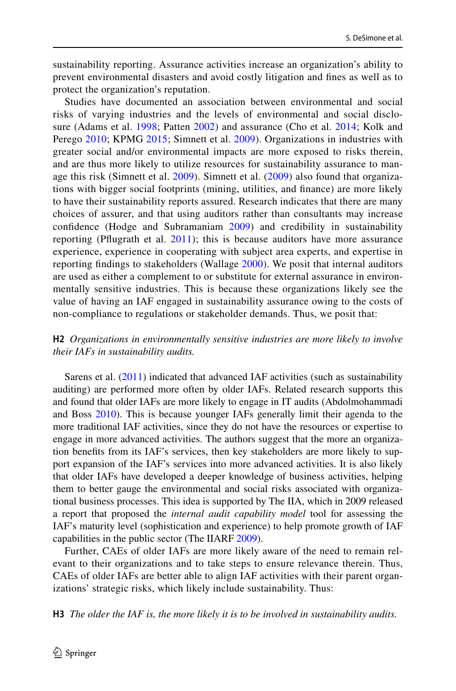sustainability reporting. Assurance activities increase an organization's ability to prevent environmental disasters and avoid costly litigation and fnes as well as to protect the organization's reputation.

Studies have documented an association between environmental and social risks of varying industries and the levels of environmental and social disclo-sure (Adams et al. [1998;](#page-25-13) Patten [2002](#page-28-19)) and assurance (Cho et al. [2014;](#page-26-3) Kolk and Perego [2010;](#page-27-19) KPMG [2015;](#page-27-3) Simnett et al. [2009](#page-29-2)). Organizations in industries with greater social and/or environmental impacts are more exposed to risks therein, and are thus more likely to utilize resources for sustainability assurance to manage this risk (Simnett et al. [2009](#page-29-2)). Simnett et al. ([2009\)](#page-29-2) also found that organizations with bigger social footprints (mining, utilities, and fnance) are more likely to have their sustainability reports assured. Research indicates that there are many choices of assurer, and that using auditors rather than consultants may increase confdence (Hodge and Subramaniam [2009](#page-27-20)) and credibility in sustainability reporting (Pfugrath et al. [2011](#page-28-20)); this is because auditors have more assurance experience, experience in cooperating with subject area experts, and expertise in reporting fndings to stakeholders (Wallage [2000\)](#page-30-4). We posit that internal auditors are used as either a complement to or substitute for external assurance in environmentally sensitive industries. This is because these organizations likely see the value of having an IAF engaged in sustainability assurance owing to the costs of non-compliance to regulations or stakeholder demands. Thus, we posit that:

# **H2** *Organizations in environmentally sensitive industries are more likely to involve their IAFs in sustainability audits.*

Sarens et al. ([2011\)](#page-29-19) indicated that advanced IAF activities (such as sustainability auditing) are performed more often by older IAFs. Related research supports this and found that older IAFs are more likely to engage in IT audits (Abdolmohammadi and Boss [2010](#page-25-14)). This is because younger IAFs generally limit their agenda to the more traditional IAF activities, since they do not have the resources or expertise to engage in more advanced activities. The authors suggest that the more an organization benefts from its IAF's services, then key stakeholders are more likely to support expansion of the IAF's services into more advanced activities. It is also likely that older IAFs have developed a deeper knowledge of business activities, helping them to better gauge the environmental and social risks associated with organizational business processes. This idea is supported by The IIA, which in 2009 released a report that proposed the *internal audit capability model* tool for assessing the IAF's maturity level (sophistication and experience) to help promote growth of IAF capabilities in the public sector (The IIARF [2009](#page-29-20)).

Further, CAEs of older IAFs are more likely aware of the need to remain relevant to their organizations and to take steps to ensure relevance therein. Thus, CAEs of older IAFs are better able to align IAF activities with their parent organizations' strategic risks, which likely include sustainability. Thus:

**H3** *The older the IAF is, the more likely it is to be involved in sustainability audits.*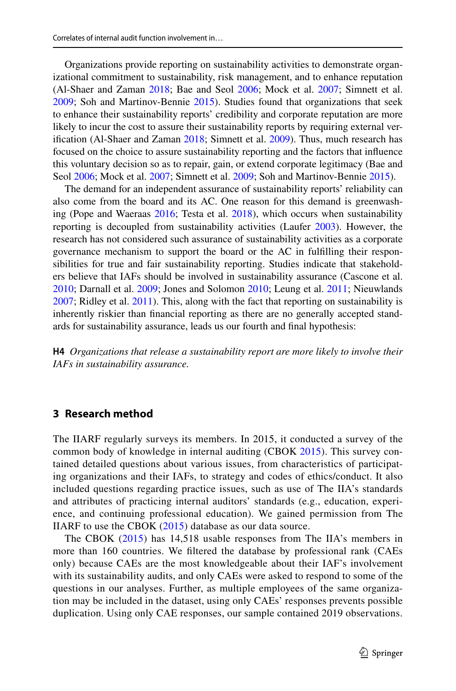Organizations provide reporting on sustainability activities to demonstrate organizational commitment to sustainability, risk management, and to enhance reputation (Al-Shaer and Zaman [2018;](#page-25-7) Bae and Seol [2006](#page-25-0); Mock et al. [2007;](#page-28-3) Simnett et al. [2009](#page-29-2); Soh and Martinov-Bennie [2015\)](#page-29-1). Studies found that organizations that seek to enhance their sustainability reports' credibility and corporate reputation are more likely to incur the cost to assure their sustainability reports by requiring external verifcation (Al-Shaer and Zaman [2018](#page-25-7); Simnett et al. [2009\)](#page-29-2). Thus, much research has focused on the choice to assure sustainability reporting and the factors that infuence this voluntary decision so as to repair, gain, or extend corporate legitimacy (Bae and Seol [2006](#page-25-0); Mock et al. [2007](#page-28-3); Simnett et al. [2009;](#page-29-2) Soh and Martinov-Bennie [2015](#page-29-1)).

The demand for an independent assurance of sustainability reports' reliability can also come from the board and its AC. One reason for this demand is greenwashing (Pope and Waeraas [2016;](#page-28-21) Testa et al. [2018](#page-29-21)), which occurs when sustainability reporting is decoupled from sustainability activities (Laufer [2003\)](#page-27-21). However, the research has not considered such assurance of sustainability activities as a corporate governance mechanism to support the board or the AC in fulflling their responsibilities for true and fair sustainability reporting. Studies indicate that stakeholders believe that IAFs should be involved in sustainability assurance (Cascone et al. [2010](#page-26-19); Darnall et al. [2009](#page-26-5); Jones and Solomon [2010;](#page-27-6) Leung et al. [2011](#page-28-22); Nieuwlands [2007](#page-28-10); Ridley et al. [2011](#page-28-1)). This, along with the fact that reporting on sustainability is inherently riskier than fnancial reporting as there are no generally accepted standards for sustainability assurance, leads us our fourth and fnal hypothesis:

**H4** *Organizations that release a sustainability report are more likely to involve their IAFs in sustainability assurance.*

# **3 Research method**

The IIARF regularly surveys its members. In 2015, it conducted a survey of the common body of knowledge in internal auditing (CBOK [2015\)](#page-26-10). This survey contained detailed questions about various issues, from characteristics of participating organizations and their IAFs, to strategy and codes of ethics/conduct. It also included questions regarding practice issues, such as use of The IIA's standards and attributes of practicing internal auditors' standards (e.g., education, experience, and continuing professional education). We gained permission from The IIARF to use the CBOK [\(2015\)](#page-26-10) database as our data source.

The CBOK ([2015](#page-26-10)) has 14,518 usable responses from The IIA's members in more than 160 countries. We fltered the database by professional rank (CAEs only) because CAEs are the most knowledgeable about their IAF's involvement with its sustainability audits, and only CAEs were asked to respond to some of the questions in our analyses. Further, as multiple employees of the same organization may be included in the dataset, using only CAEs' responses prevents possible duplication. Using only CAE responses, our sample contained 2019 observations.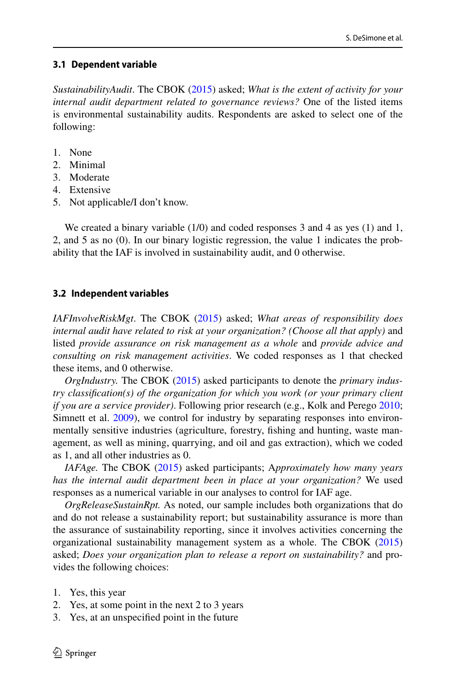### **3.1 Dependent variable**

*SustainabilityAudit*. The CBOK ([2015\)](#page-26-10) asked; *What is the extent of activity for your internal audit department related to governance reviews?* One of the listed items is environmental sustainability audits. Respondents are asked to select one of the following:

- 1. None
- 2. Minimal
- 3. Moderate
- 4. Extensive
- 5. Not applicable/I don't know.

We created a binary variable (1/0) and coded responses 3 and 4 as yes (1) and 1, 2, and 5 as no (0). In our binary logistic regression, the value 1 indicates the probability that the IAF is involved in sustainability audit, and 0 otherwise.

### **3.2 Independent variables**

*IAFInvolveRiskMgt*. The CBOK ([2015\)](#page-26-10) asked; *What areas of responsibility does internal audit have related to risk at your organization? (Choose all that apply)* and listed *provide assurance on risk management as a whole* and *provide advice and consulting on risk management activities*. We coded responses as 1 that checked these items, and 0 otherwise.

*OrgIndustry.* The CBOK ([2015\)](#page-26-10) asked participants to denote the *primary industry classifcation(s) of the organization for which you work (or your primary client if you are a service provider)*. Following prior research (e.g., Kolk and Perego [2010;](#page-27-19) Simnett et al. [2009](#page-29-2)), we control for industry by separating responses into environmentally sensitive industries (agriculture, forestry, fshing and hunting, waste management, as well as mining, quarrying, and oil and gas extraction), which we coded as 1, and all other industries as 0.

*IAFAge.* The CBOK [\(2015](#page-26-10)) asked participants; A*pproximately how many years has the internal audit department been in place at your organization?* We used responses as a numerical variable in our analyses to control for IAF age.

*OrgReleaseSustainRpt.* As noted, our sample includes both organizations that do and do not release a sustainability report; but sustainability assurance is more than the assurance of sustainability reporting, since it involves activities concerning the organizational sustainability management system as a whole. The CBOK [\(2015](#page-26-10)) asked; *Does your organization plan to release a report on sustainability?* and provides the following choices:

- 1. Yes, this year
- 2. Yes, at some point in the next 2 to 3 years
- 3. Yes, at an unspecifed point in the future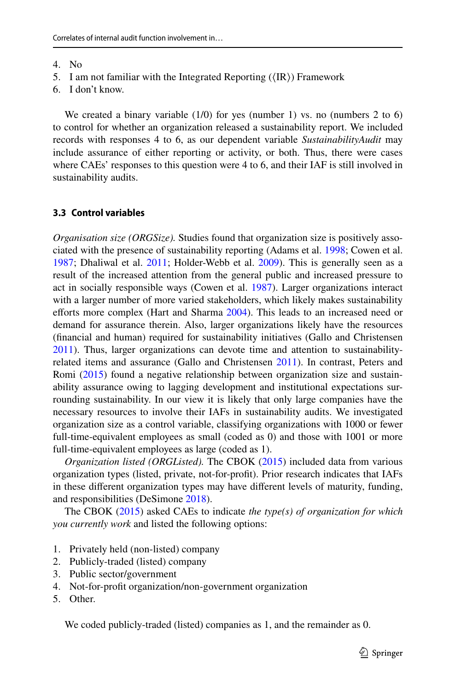- 4. No
- 5. I am not familiar with the Integrated Reporting  $(\langle IR \rangle)$  Framework
- 6. I don't know.

We created a binary variable (1/0) for yes (number 1) vs. no (numbers 2 to 6) to control for whether an organization released a sustainability report. We included records with responses 4 to 6, as our dependent variable *SustainabilityAudit* may include assurance of either reporting or activity, or both. Thus, there were cases where CAEs' responses to this question were 4 to 6, and their IAF is still involved in sustainability audits.

#### **3.3 Control variables**

*Organisation size (ORGSize).* Studies found that organization size is positively associated with the presence of sustainability reporting (Adams et al. [1998;](#page-25-13) Cowen et al. [1987](#page-26-21); Dhaliwal et al. [2011](#page-26-12); Holder-Webb et al. [2009](#page-27-7)). This is generally seen as a result of the increased attention from the general public and increased pressure to act in socially responsible ways (Cowen et al. [1987](#page-26-21)). Larger organizations interact with a larger number of more varied stakeholders, which likely makes sustainability efforts more complex (Hart and Sharma [2004](#page-27-22)). This leads to an increased need or demand for assurance therein. Also, larger organizations likely have the resources (fnancial and human) required for sustainability initiatives (Gallo and Christensen [2011](#page-26-22)). Thus, larger organizations can devote time and attention to sustainabilityrelated items and assurance (Gallo and Christensen [2011\)](#page-26-22). In contrast, Peters and Romi [\(2015](#page-28-18)) found a negative relationship between organization size and sustainability assurance owing to lagging development and institutional expectations surrounding sustainability. In our view it is likely that only large companies have the necessary resources to involve their IAFs in sustainability audits. We investigated organization size as a control variable, classifying organizations with 1000 or fewer full-time-equivalent employees as small (coded as 0) and those with 1001 or more full-time-equivalent employees as large (coded as 1).

*Organization listed (ORGListed).* The CBOK ([2015\)](#page-26-10) included data from various organization types (listed, private, not-for-proft). Prior research indicates that IAFs in these diferent organization types may have diferent levels of maturity, funding, and responsibilities (DeSimone [2018](#page-26-23)).

The CBOK [\(2015](#page-26-10)) asked CAEs to indicate *the type(s) of organization for which you currently work* and listed the following options:

- 1. Privately held (non-listed) company
- 2. Publicly-traded (listed) company
- 3. Public sector/government
- 4. Not-for-proft organization/non-government organization
- 5. Other.

We coded publicly-traded (listed) companies as 1, and the remainder as 0.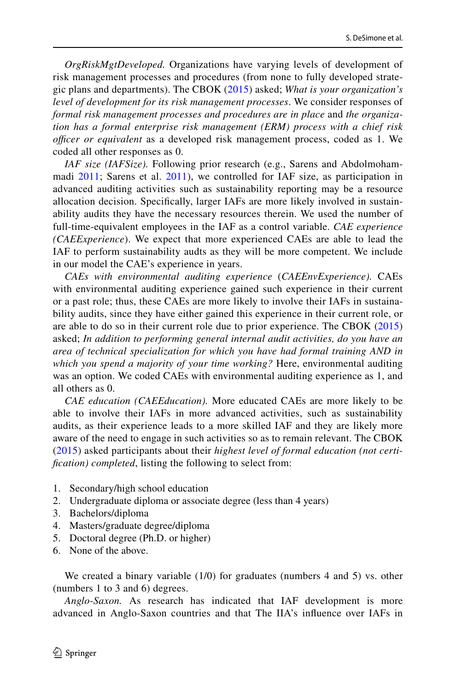*OrgRiskMgtDeveloped.* Organizations have varying levels of development of risk management processes and procedures (from none to fully developed strategic plans and departments). The CBOK [\(2015](#page-26-10)) asked; *What is your organization's level of development for its risk management processes*. We consider responses of *formal risk management processes and procedures are in place* and *the organization has a formal enterprise risk management (ERM) process with a chief risk officer or equivalent* as a developed risk management process, coded as 1. We coded all other responses as 0.

*IAF size (IAFSize).* Following prior research (e.g., Sarens and Abdolmoham-madi [2011](#page-28-23); Sarens et al. [2011\)](#page-29-19), we controlled for IAF size, as participation in advanced auditing activities such as sustainability reporting may be a resource allocation decision. Specifcally, larger IAFs are more likely involved in sustainability audits they have the necessary resources therein. We used the number of full-time-equivalent employees in the IAF as a control variable. *CAE experience (CAEExperience*). We expect that more experienced CAEs are able to lead the IAF to perform sustainability audts as they will be more competent. We include in our model the CAE's experience in years.

*CAEs with environmental auditing experience* (*CAEEnvExperience).* CAEs with environmental auditing experience gained such experience in their current or a past role; thus, these CAEs are more likely to involve their IAFs in sustainability audits, since they have either gained this experience in their current role, or are able to do so in their current role due to prior experience. The CBOK [\(2015\)](#page-26-10) asked; *In addition to performing general internal audit activities, do you have an area of technical specialization for which you have had formal training AND in which you spend a majority of your time working?* Here, environmental auditing was an option. We coded CAEs with environmental auditing experience as 1, and all others as 0.

*CAE education (CAEEducation).* More educated CAEs are more likely to be able to involve their IAFs in more advanced activities, such as sustainability audits, as their experience leads to a more skilled IAF and they are likely more aware of the need to engage in such activities so as to remain relevant. The CBOK [\(2015](#page-26-10)) asked participants about their *highest level of formal education (not certifcation) completed*, listing the following to select from:

- 1. Secondary/high school education
- 2. Undergraduate diploma or associate degree (less than 4 years)
- 3. Bachelors/diploma
- 4. Masters/graduate degree/diploma
- 5. Doctoral degree (Ph.D. or higher)
- 6. None of the above.

We created a binary variable (1/0) for graduates (numbers 4 and 5) vs. other (numbers 1 to 3 and 6) degrees.

*Anglo*-*Saxon.* As research has indicated that IAF development is more advanced in Anglo-Saxon countries and that The IIA's infuence over IAFs in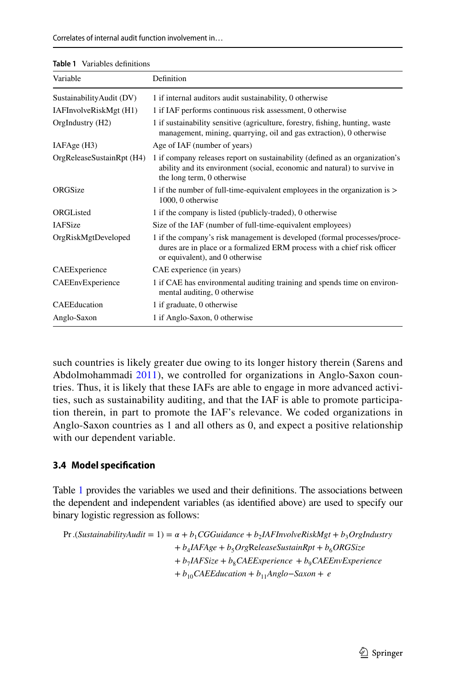| $\mu$ abie I valiabies definitions |                                                                                                                                                                                         |
|------------------------------------|-----------------------------------------------------------------------------------------------------------------------------------------------------------------------------------------|
| Variable                           | Definition                                                                                                                                                                              |
| SustainabilityAudit (DV)           | 1 if internal auditors audit sustainability, 0 otherwise                                                                                                                                |
| IAFInvolveRiskMgt (H1)             | 1 if IAF performs continuous risk assessment, 0 otherwise                                                                                                                               |
| OrgIndustry (H2)                   | 1 if sustainability sensitive (agriculture, forestry, fishing, hunting, waste<br>management, mining, quarrying, oil and gas extraction), 0 otherwise                                    |
| IAFAge (H3)                        | Age of IAF (number of years)                                                                                                                                                            |
| OrgReleaseSustainRpt (H4)          | 1 if company releases report on sustainability (defined as an organization's<br>ability and its environment (social, economic and natural) to survive in<br>the long term, 0 otherwise  |
| ORGSize                            | 1 if the number of full-time-equivalent employees in the organization is ><br>1000, 0 otherwise                                                                                         |
| <b>ORGListed</b>                   | 1 if the company is listed (publicly-traded), 0 otherwise                                                                                                                               |
| <b>IAFSize</b>                     | Size of the IAF (number of full-time-equivalent employees)                                                                                                                              |
| OrgRiskMgtDeveloped                | 1 if the company's risk management is developed (formal processes/proce-<br>dures are in place or a formalized ERM process with a chief risk officer<br>or equivalent), and 0 otherwise |
| CAEExperience                      | CAE experience (in years)                                                                                                                                                               |
| CAEEnvExperience                   | 1 if CAE has environmental auditing training and spends time on environ-<br>mental auditing, 0 otherwise                                                                                |
| CAEEducation                       | 1 if graduate, 0 otherwise                                                                                                                                                              |
| Anglo-Saxon                        | 1 if Anglo-Saxon, 0 otherwise                                                                                                                                                           |

<span id="page-14-0"></span>

such countries is likely greater due owing to its longer history therein (Sarens and Abdolmohammadi [2011\)](#page-28-23), we controlled for organizations in Anglo-Saxon countries. Thus, it is likely that these IAFs are able to engage in more advanced activities, such as sustainability auditing, and that the IAF is able to promote participation therein, in part to promote the IAF's relevance. We coded organizations in Anglo-Saxon countries as 1 and all others as 0, and expect a positive relationship with our dependent variable.

# **3.4 Model specifcation**

Table [1](#page-14-0) provides the variables we used and their defnitions. The associations between the dependent and independent variables (as identifed above) are used to specify our binary logistic regression as follows:

$$
\begin{aligned} \Pr.(SustainabilityAudit = 1) &= \alpha + b_1 CGGuidance + b_2 IAFInvolveRiskMgt + b_3OrgIndustry \\ &+ b_4 IAFAge + b_5 OrgReleaseSustainRpt + b_6 ORGSize \\ &+ b_7 IAFSize + b_8 CAEExperience + b_9 CAEEnvExperience \\ &+ b_{10} CAEEducation + b_{11} Anglo-Saxon + e \end{aligned}
$$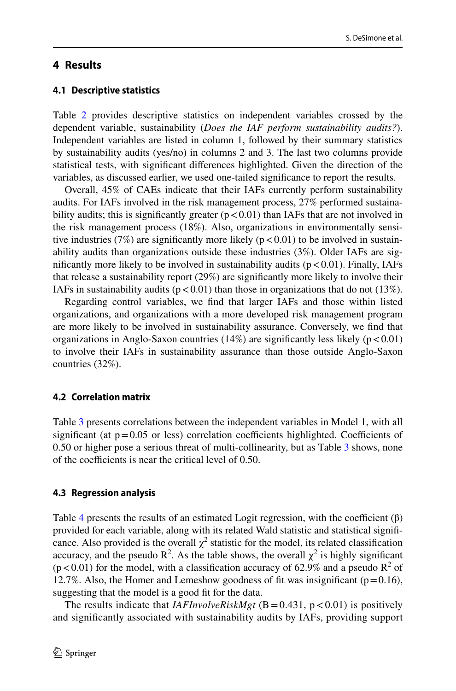# **4 Results**

Table [2](#page-16-0) provides descriptive statistics on independent variables crossed by the dependent variable, sustainability (*Does the IAF perform sustainability audits?*). Independent variables are listed in column 1, followed by their summary statistics by sustainability audits (yes/no) in columns 2 and 3. The last two columns provide statistical tests, with signifcant diferences highlighted. Given the direction of the variables, as discussed earlier, we used one-tailed signifcance to report the results.

Overall, 45% of CAEs indicate that their IAFs currently perform sustainability audits. For IAFs involved in the risk management process, 27% performed sustainability audits; this is significantly greater  $(p<0.01)$  than IAFs that are not involved in the risk management process (18%). Also, organizations in environmentally sensitive industries (7%) are significantly more likely ( $p < 0.01$ ) to be involved in sustainability audits than organizations outside these industries (3%). Older IAFs are significantly more likely to be involved in sustainability audits  $(p < 0.01)$ . Finally, IAFs that release a sustainability report (29%) are signifcantly more likely to involve their IAFs in sustainability audits ( $p < 0.01$ ) than those in organizations that do not (13%).

Regarding control variables, we fnd that larger IAFs and those within listed organizations, and organizations with a more developed risk management program are more likely to be involved in sustainability assurance. Conversely, we fnd that organizations in Anglo-Saxon countries  $(14%)$  are significantly less likely  $(p < 0.01)$ to involve their IAFs in sustainability assurance than those outside Anglo-Saxon countries (32%).

# **4.2 Correlation matrix**

Table [3](#page-18-0) presents correlations between the independent variables in Model 1, with all significant (at  $p=0.05$  or less) correlation coefficients highlighted. Coefficients of 0.50 or higher pose a serious threat of multi-collinearity, but as Table [3](#page-18-0) shows, none of the coefficients is near the critical level of  $0.50$ .

# **4.3 Regression analysis**

Table [4](#page-19-0) presents the results of an estimated Logit regression, with the coefficient  $(\beta)$ provided for each variable, along with its related Wald statistic and statistical signifcance. Also provided is the overall  $\chi^2$  statistic for the model, its related classification accuracy, and the pseudo  $\mathbb{R}^2$ . As the table shows, the overall  $\chi^2$  is highly significant  $(p<0.01)$  for the model, with a classification accuracy of 62.9% and a pseudo  $R^2$  of 12.7%. Also, the Homer and Lemeshow goodness of fit was insignificant ( $p=0.16$ ), suggesting that the model is a good ft for the data.

The results indicate that  $IAFInvolveRiskMgt$  (B = 0.431, p < 0.01) is positively and signifcantly associated with sustainability audits by IAFs, providing support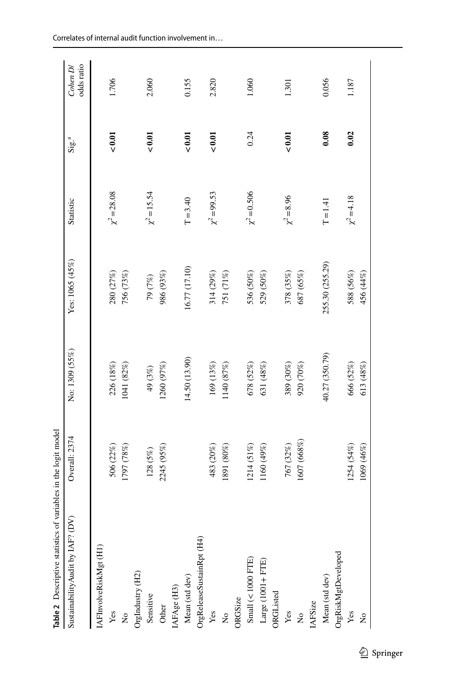<span id="page-16-0"></span>

| <b>Table 2</b> Descriptive statistics of variables in the logit model |               |                |                 |                  |          |                        |
|-----------------------------------------------------------------------|---------------|----------------|-----------------|------------------|----------|------------------------|
| Sustainability Audit by IAF? (DV)                                     | Overall: 2374 | No: 1309 (55%) | Yes: 1065 (45%) | Statistic        | $Size^4$ | odds ratio<br>Cohen D/ |
| IAFInvolveRiskMgt (H1)                                                |               |                |                 |                  |          |                        |
| Yes                                                                   | 506 (22%)     | 226 (18%)      | 280 (27%)       | $\chi^2 = 28.08$ | < 0.01   | 1.706                  |
| $\mathsf{S}^{\mathsf{o}}$                                             | 1797 (78%)    | 1041 (82%)     | 756 (73%)       |                  |          |                        |
| OrgIndustry (H2)                                                      |               |                |                 |                  |          |                        |
| Sensitive                                                             | 128 (5%)      | 49 (3%)        | 79 (7%)         | $\chi^2$ = 15.54 | < 0.01   | 2.060                  |
| Other                                                                 | 2245 (95%)    | 1260 (97%)     | 986 (93%)       |                  |          |                        |
| IAFAge (H3)                                                           |               |                |                 |                  |          |                        |
| Mean (std dev)                                                        |               | 14.50 (13.90)  | 16.77 (17.10)   | $T = 3.40$       | < 0.01   | 0.155                  |
| OrgReleaseSustainRpt (H4)                                             |               |                |                 |                  |          |                        |
| Yes                                                                   | 483 (20%)     | 169 (13%)      | 314 (29%)       | $\chi^2 = 99.53$ | 0.01     | 2.820                  |
| $\tilde{\mathsf{z}}$                                                  | 1891 (80%)    | 1140 (87%)     | 751 (71%)       |                  |          |                        |
| ORGSize                                                               |               |                |                 |                  |          |                        |
| Small $(< 1000$ FTE)                                                  | 1214 (51%)    | 678 (52%)      | 536 (50%)       | $\chi^2 = 0.506$ | 0.24     | 1.060                  |
| $Large(1001 + FTE)$                                                   | 1160 (49%)    | 631 (48%)      | 529 (50%)       |                  |          |                        |
| ORGListed                                                             |               |                |                 |                  |          |                        |
| Yes                                                                   | 767 (32%)     | 389 (30%)      | 378 (35%)       | $\chi^2 = 8.96$  | 0.01     | 1.301                  |
| $\frac{1}{2}$                                                         | 1607 (668%)   | 920 (70%)      | 687 (65%)       |                  |          |                        |
| IAFSize                                                               |               |                |                 |                  |          |                        |
| Mean (std dev)                                                        |               | 40.27 (350.79) | 255.30 (255.29) | $T = 1.41$       | 0.08     | 0.056                  |
| OrgRiskMgtDeveloped                                                   |               |                |                 |                  |          |                        |
| Yes                                                                   | 1254 (54%)    | 666 (52%)      | 588 (56%)       | $\chi^2$ = 4.18  | 0.02     | 1.187                  |
| $\Sigma$                                                              | 1069 (46%)    | 613 (48%)      | 456 (44%)       |                  |          |                        |
|                                                                       |               |                |                 |                  |          |                        |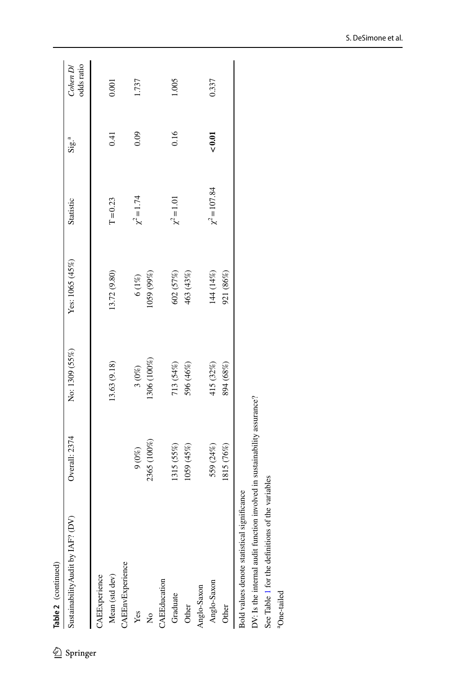| Overall: 2374                               | No: 1309 (55%) | Yes: 1065 (45%) | Statistic         | ${\rm Sig.}^4$ | odds ratio<br>Cohen D/ |
|---------------------------------------------|----------------|-----------------|-------------------|----------------|------------------------|
|                                             |                |                 |                   |                |                        |
|                                             | 13.63 (9.18)   | 13.72 (9.80)    | $T = 0.23$        | 0.41           | 0.001                  |
|                                             |                |                 |                   |                |                        |
| $9\, (0\%)$                                 | $3\ (0\%)$     | $6\ (1\%)$      | $\chi^2 = 1.74$   | 0.09           | 1.737                  |
| 2365 (100%)                                 | 306 (100%)     | 059 (99%)       |                   |                |                        |
|                                             |                |                 |                   |                |                        |
| 1315 (55%)                                  |                | 602 (57%)       | $\chi^2 = 1.01$   | 0.16           | 1.005                  |
| (%54) 6501                                  | 596 (46%)      | 463 (43%)       |                   |                |                        |
|                                             |                |                 |                   |                |                        |
| 559 (24%)                                   | 415 (32%)      | 144 (14%)       | $\chi^2 = 107.84$ | < 0.01         | 0.337                  |
| 1815 (76%)                                  | 894 (68%)      | 921 (86%)       |                   |                |                        |
| Bold values denote statistical significance |                |                 |                   |                |                        |
|                                             |                | 713 (54%)       |                   |                |                        |

DV: Is the internal audit function involved in sustainability assurance? DV: Is the internal audit function involved in sustainability assurance?

See Table 1 for the definitions of the variables See Table [1](#page-14-0) for the defnitions of the variables

 $^{\rm a} \rm{One}\mbox{-}tailed$ aOne-tailed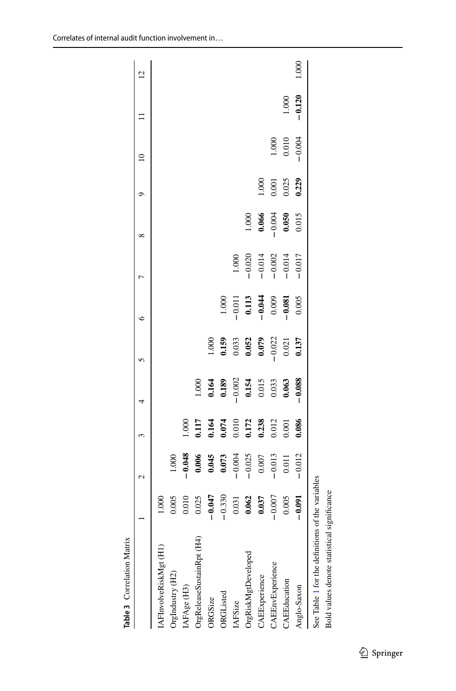<span id="page-18-0"></span>

| $-0.120$<br>1.000<br>$-0.004$<br>$\begin{array}{c} 1.000 \\ 0.010 \end{array}$<br>0.229<br>$\begin{array}{c} 1.000 \\ 0.001 \\ 0.025 \end{array}$<br>$\begin{array}{c} 1.000 \\ 0.066 \\ -0.004 \\ \mathbf{0.050} \end{array}$<br>0.015<br>$-1.000$<br>$-0.020$<br>$-0.014$<br>$-0.002$<br>$-0.014$<br>$-0.017$<br>$-1.000$<br>$-0.011$<br>0.113<br>$-0.044$<br>0.009<br>0.005<br>0.159<br>0.033<br>0.052<br>0.079<br>0.022<br>1.000<br>0.137<br>$-0.088$<br>1.000<br>0.164<br>0.189<br>0.154<br>0.015<br>0.005<br>0.003<br>$1.000$<br>0.1174<br>0.010<br>0.012<br>0.012<br>0.012<br>0.001<br>0.086<br>$\begin{array}{r} 1.000 \\ -0.048 \\ -0.006 \\ 0.005 \\ 0.045 \\ -0.037 \\ -0.025 \\ -0.007 \\ -0.007 \\ -0.007 \\ -0.013 \\ \end{array}$<br>$-0.012$<br>See Table 1 for the definitions of the variables<br>$-0.330$<br>$\begin{array}{c} 0.031 \\ 0.062 \\ 0.037 \\ -0.037 \end{array}$<br>$\begin{array}{c} 0.010 \\ 0.025 \\ -0.047 \end{array}$<br>0.005<br>$-0.091$<br>1.000<br>0.005<br>OrgReleaseSustainRpt (H4)<br>IAFInvolveRiskMgt (H1)<br>OrgRiskMgtDeveloped<br>CAEEnvExperience<br>OrgIndustry (H2)<br>CAEExperience<br>CAEEducation<br>IAFAge (H3)<br>Anglo-Saxon<br>ORGListed<br>ORGSize<br><b>IAFSize</b> |  | $\sim$ | 3 | 4 | 5 | $\circ$ | Γ | $\infty$ | ᡋ | $\approx$ | $\overline{c}$ |
|-----------------------------------------------------------------------------------------------------------------------------------------------------------------------------------------------------------------------------------------------------------------------------------------------------------------------------------------------------------------------------------------------------------------------------------------------------------------------------------------------------------------------------------------------------------------------------------------------------------------------------------------------------------------------------------------------------------------------------------------------------------------------------------------------------------------------------------------------------------------------------------------------------------------------------------------------------------------------------------------------------------------------------------------------------------------------------------------------------------------------------------------------------------------------------------------------------------------------------------|--|--------|---|---|---|---------|---|----------|---|-----------|----------------|
|                                                                                                                                                                                                                                                                                                                                                                                                                                                                                                                                                                                                                                                                                                                                                                                                                                                                                                                                                                                                                                                                                                                                                                                                                                   |  |        |   |   |   |         |   |          |   |           |                |
|                                                                                                                                                                                                                                                                                                                                                                                                                                                                                                                                                                                                                                                                                                                                                                                                                                                                                                                                                                                                                                                                                                                                                                                                                                   |  |        |   |   |   |         |   |          |   |           |                |
|                                                                                                                                                                                                                                                                                                                                                                                                                                                                                                                                                                                                                                                                                                                                                                                                                                                                                                                                                                                                                                                                                                                                                                                                                                   |  |        |   |   |   |         |   |          |   |           |                |
|                                                                                                                                                                                                                                                                                                                                                                                                                                                                                                                                                                                                                                                                                                                                                                                                                                                                                                                                                                                                                                                                                                                                                                                                                                   |  |        |   |   |   |         |   |          |   |           |                |
|                                                                                                                                                                                                                                                                                                                                                                                                                                                                                                                                                                                                                                                                                                                                                                                                                                                                                                                                                                                                                                                                                                                                                                                                                                   |  |        |   |   |   |         |   |          |   |           |                |
|                                                                                                                                                                                                                                                                                                                                                                                                                                                                                                                                                                                                                                                                                                                                                                                                                                                                                                                                                                                                                                                                                                                                                                                                                                   |  |        |   |   |   |         |   |          |   |           |                |
|                                                                                                                                                                                                                                                                                                                                                                                                                                                                                                                                                                                                                                                                                                                                                                                                                                                                                                                                                                                                                                                                                                                                                                                                                                   |  |        |   |   |   |         |   |          |   |           |                |
|                                                                                                                                                                                                                                                                                                                                                                                                                                                                                                                                                                                                                                                                                                                                                                                                                                                                                                                                                                                                                                                                                                                                                                                                                                   |  |        |   |   |   |         |   |          |   |           |                |
|                                                                                                                                                                                                                                                                                                                                                                                                                                                                                                                                                                                                                                                                                                                                                                                                                                                                                                                                                                                                                                                                                                                                                                                                                                   |  |        |   |   |   |         |   |          |   |           |                |
|                                                                                                                                                                                                                                                                                                                                                                                                                                                                                                                                                                                                                                                                                                                                                                                                                                                                                                                                                                                                                                                                                                                                                                                                                                   |  |        |   |   |   |         |   |          |   |           |                |
|                                                                                                                                                                                                                                                                                                                                                                                                                                                                                                                                                                                                                                                                                                                                                                                                                                                                                                                                                                                                                                                                                                                                                                                                                                   |  |        |   |   |   |         |   |          |   |           |                |
|                                                                                                                                                                                                                                                                                                                                                                                                                                                                                                                                                                                                                                                                                                                                                                                                                                                                                                                                                                                                                                                                                                                                                                                                                                   |  |        |   |   |   |         |   |          |   |           | 1.000          |
|                                                                                                                                                                                                                                                                                                                                                                                                                                                                                                                                                                                                                                                                                                                                                                                                                                                                                                                                                                                                                                                                                                                                                                                                                                   |  |        |   |   |   |         |   |          |   |           |                |

Correlates of internal audit function involvement in…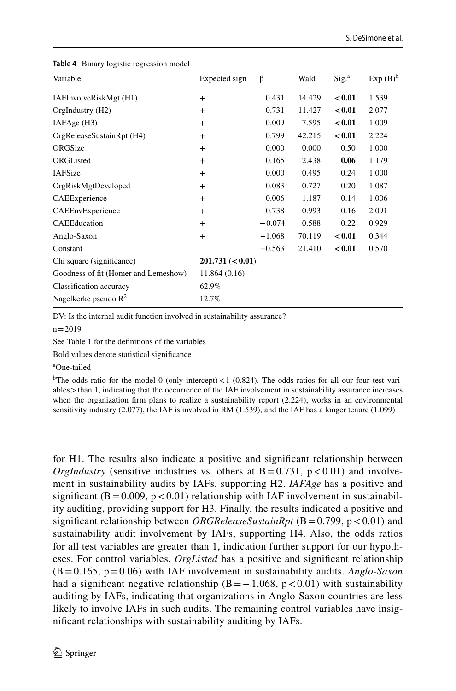| Variable                             | Expected sign    | β        | Wald   | Sig. <sup>a</sup> | $Exp(B)^b$ |
|--------------------------------------|------------------|----------|--------|-------------------|------------|
| IAFInvolveRiskMgt (H1)               | $^{+}$           | 0.431    | 14.429 | < 0.01            | 1.539      |
| OrgIndustry (H2)                     | $+$              | 0.731    | 11.427 | < 0.01            | 2.077      |
| IAFAge (H3)                          | $^{+}$           | 0.009    | 7.595  | < 0.01            | 1.009      |
| OrgReleaseSustainRpt (H4)            | $+$              | 0.799    | 42.215 | < 0.01            | 2.224      |
| ORGSize                              | $+$              | 0.000    | 0.000  | 0.50              | 1.000      |
| ORGListed                            | $+$              | 0.165    | 2.438  | 0.06              | 1.179      |
| <b>IAFSize</b>                       | $+$              | 0.000    | 0.495  | 0.24              | 1.000      |
| OrgRiskMgtDeveloped                  | $+$              | 0.083    | 0.727  | 0.20              | 1.087      |
| CAEExperience                        | $^{+}$           | 0.006    | 1.187  | 0.14              | 1.006      |
| CAEEnvExperience                     | $^{+}$           | 0.738    | 0.993  | 0.16              | 2.091      |
| CAEEducation                         | $^{+}$           | $-0.074$ | 0.588  | 0.22              | 0.929      |
| Anglo-Saxon                          | $^{+}$           | $-1.068$ | 70.119 | < 0.01            | 0.344      |
| Constant                             |                  | $-0.563$ | 21.410 | < 0.01            | 0.570      |
| Chi square (significance)            | 201.731 (< 0.01) |          |        |                   |            |
| Goodness of fit (Homer and Lemeshow) | 11.864(0.16)     |          |        |                   |            |
| Classification accuracy              | 62.9%            |          |        |                   |            |
| Nagelkerke pseudo $R^2$              | 12.7%            |          |        |                   |            |

<span id="page-19-0"></span>**Table 4** Binary logistic regression model

DV: Is the internal audit function involved in sustainability assurance?

 $n = 2019$ 

See Table [1](#page-14-0) for the defnitions of the variables

Bold values denote statistical signifcance

a One-tailed

<sup>b</sup>The odds ratio for the model 0 (only intercept) < 1 (0.824). The odds ratios for all our four test variables > than 1, indicating that the occurrence of the IAF involvement in sustainability assurance increases when the organization firm plans to realize a sustainability report (2.224), works in an environmental sensitivity industry (2.077), the IAF is involved in RM (1.539), and the IAF has a longer tenure (1.099)

for H1. The results also indicate a positive and signifcant relationship between *OrgIndustry* (sensitive industries vs. others at  $B = 0.731$ ,  $p < 0.01$ ) and involvement in sustainability audits by IAFs, supporting H2. *IAFAge* has a positive and significant  $(B=0.009, p<0.01)$  relationship with IAF involvement in sustainability auditing, providing support for H3. Finally, the results indicated a positive and significant relationship between *ORGReleaseSustainRpt* (B=0.799, p < 0.01) and sustainability audit involvement by IAFs, supporting H4. Also, the odds ratios for all test variables are greater than 1, indication further support for our hypotheses. For control variables, *OrgListed* has a positive and signifcant relationship (B=0.165, p=0.06) with IAF involvement in sustainability audits. *Anglo*-*Saxon* had a significant negative relationship  $(B=-1.068, p<0.01)$  with sustainability auditing by IAFs, indicating that organizations in Anglo-Saxon countries are less likely to involve IAFs in such audits. The remaining control variables have insignifcant relationships with sustainability auditing by IAFs.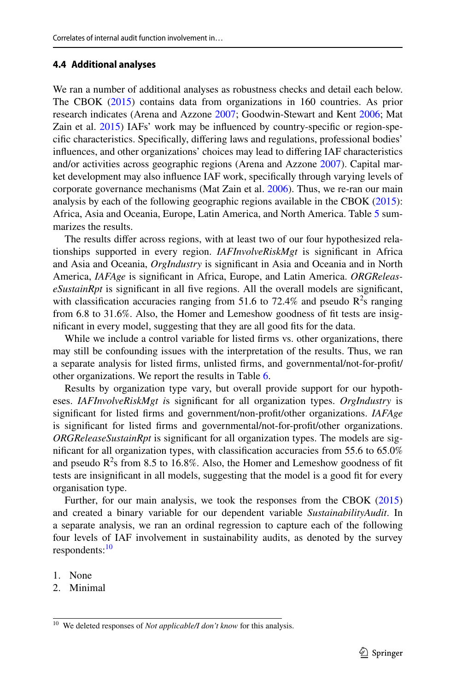### **4.4 Additional analyses**

We ran a number of additional analyses as robustness checks and detail each below. The CBOK ([2015\)](#page-26-10) contains data from organizations in 160 countries. As prior research indicates (Arena and Azzone [2007](#page-25-15); Goodwin-Stewart and Kent [2006](#page-27-23); Mat Zain et al. [2015](#page-28-24)) IAFs' work may be infuenced by country-specifc or region-specifc characteristics. Specifcally, difering laws and regulations, professional bodies' infuences, and other organizations' choices may lead to difering IAF characteristics and/or activities across geographic regions (Arena and Azzone [2007\)](#page-25-15). Capital market development may also infuence IAF work, specifcally through varying levels of corporate governance mechanisms (Mat Zain et al. [2006\)](#page-28-25). Thus, we re-ran our main analysis by each of the following geographic regions available in the CBOK [\(2015](#page-26-10)): Africa, Asia and Oceania, Europe, Latin America, and North America. Table [5](#page-21-0) summarizes the results.

The results difer across regions, with at least two of our four hypothesized relationships supported in every region. *IAFInvolveRiskMgt* is signifcant in Africa and Asia and Oceania, *OrgIndustry* is signifcant in Asia and Oceania and in North America, *IAFAge* is signifcant in Africa, Europe, and Latin America. *ORGReleaseSustainRpt* is signifcant in all fve regions. All the overall models are signifcant, with classification accuracies ranging from 51.6 to 72.4% and pseudo  $R^2$ s ranging from 6.8 to 31.6%. Also, the Homer and Lemeshow goodness of ft tests are insignifcant in every model, suggesting that they are all good fts for the data.

While we include a control variable for listed firms vs. other organizations, there may still be confounding issues with the interpretation of the results. Thus, we ran a separate analysis for listed frms, unlisted frms, and governmental/not-for-proft/ other organizations. We report the results in Table [6.](#page-22-0)

Results by organization type vary, but overall provide support for our hypotheses. *IAFInvolveRiskMgt i*s signifcant for all organization types. *OrgIndustry* is signifcant for listed frms and government/non-proft/other organizations. *IAFAge* is signifcant for listed frms and governmental/not-for-proft/other organizations. *ORGReleaseSustainRpt* is signifcant for all organization types. The models are signifcant for all organization types, with classifcation accuracies from 55.6 to 65.0% and pseudo  $R^2$ s from 8.5 to 16.8%. Also, the Homer and Lemeshow goodness of fit tests are insignifcant in all models, suggesting that the model is a good ft for every organisation type.

Further, for our main analysis, we took the responses from the CBOK [\(2015](#page-26-10)) and created a binary variable for our dependent variable *SustainabilityAudit*. In a separate analysis, we ran an ordinal regression to capture each of the following four levels of IAF involvement in sustainability audits, as denoted by the survey respondents:<sup>[10](#page-20-0)</sup>

- 1. None
- 2. Minimal

<span id="page-20-0"></span><sup>&</sup>lt;sup>10</sup> We deleted responses of *Not applicable/I don't know* for this analysis.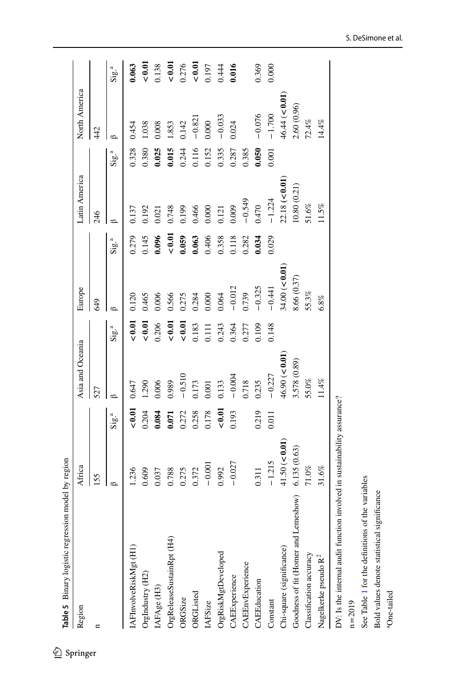| Region                               | Africa         |                             | Asia and Oceania |                     | Europe        |                             | Latin America |                              | North America |                      |
|--------------------------------------|----------------|-----------------------------|------------------|---------------------|---------------|-----------------------------|---------------|------------------------------|---------------|----------------------|
|                                      | 155            |                             | 527              |                     | <b>GHO</b>    |                             | 246           |                              | 442           |                      |
|                                      | $\circ$        | $\mathrm{Sig}^{\mathrm{a}}$ |                  | ${\rm Sig}^{\rm a}$ | $\Omega$      | $\mathrm{Sig}^{\mathrm{a}}$ | ⇔             | $\mathrm{Sig.}^{\mathrm{a}}$ |               | ${\rm Sig.}^{\rm a}$ |
| IAFInvolveRiskMgt (H1)               | 1.236          | 0.01                        | 0.647            | 0.01                | 0.120         | 0.279                       | 0.137         | 0.328                        | 0.454         | 0.063                |
| OrgIndustry (H2)                     | 0.609          | 0.204                       | 1.290            | 0.01                | 0.465         | 0.145                       | 0.192         | 0.380                        | 1.038         | < 0.01               |
| IAFAge (H3)                          | 0.037          | 0.084                       | 0.006            | 0.206               | 0.006         | 0.096                       | 0.021         | 0.025                        | 0.008         | 0.138                |
| OrgReleaseSustainRpt (H4)            | 0.788          | 0.071                       | 0.989            | 0.01                | 0.566         | 0.01                        | 0.748         | 0.015                        | 1.853         | 0.01                 |
| ORGSize                              | 0.275          | 0.272                       | $-0.510$         | $< 0.01$            | 0.275         | 0.059                       | 0.199         | 0.244                        | 0.142         | 0.276                |
| ORGListed                            | 0.372          | 0.258                       | 0.173            | 0.183               | 0.284         | 0.063                       | 0.466         | 0.116                        | $-0.821$      | 0.01                 |
| IAFSize                              | $-0.001$       | 0.178                       | $0.001$          | 0.111               | 0.000         | 0.406                       | 0.000         | 0.152                        | 0.000         | 0.197                |
| OrgRiskMgtDeveloped                  | 0.992          | $< 0.01$                    | 0.133            | 0.243               | 0.064         | 0.358                       | 0.121         | 0.335                        | $-0.033$      | 0.444                |
| CAEExperience                        | $-0.027$       | 0.193                       | $-0.004$         | 0.364               | $-0.012$      | 0.118                       | 0.009         | 0.287                        | 0.024         | 0.016                |
| CAEEnvExperience                     |                |                             | 0.718            | 0.277               | 0.739         | 0.282                       | $-0.549$      | 0.385                        |               |                      |
| CAEEducation                         | 0.311          | 0.219                       | 0.235            | 0.109               | $-0.325$      | 0.034                       | 0.470         | 0.050                        | $-0.076$      | 0.369                |
| Constant                             | $-1.215$       | 0.011                       | $-0.227$         | 0.148               | $-0.441$      | 0.029                       | $-1.224$      | 0.001                        | $-1.700$      | 0.000                |
| Chi-square (significance)            | 41.50 (< 0.01) |                             | 46.90 (< 0.01    |                     | 34.00 (< 0.01 |                             | 22.18 (< 0.01 |                              | 46.44 (< 0.01 |                      |
| Goodness of fit (Homer and Lemeshow) | 6.135(0.63)    |                             | 3.578 (0.89)     |                     | 8.66 (0.37)   |                             | 10.80(0.21)   |                              | 2.60 (0.96)   |                      |
| Classification accuracy              | 71.0%          |                             | 55.0%            |                     | 55.3%         |                             | 51.6%         |                              | 72.4%         |                      |
| Nagelkerke pseudo R <sup>2</sup>     | $31.6\%$       |                             | $11.4\%$         |                     | 6.8%          |                             | 1.5%          |                              | 14.4%         |                      |

DV: Is the internal audit function involved in sustainability assurance? DV: Is the internal audit function involved in sustainability assurance?

<span id="page-21-0"></span>n=2019

See Table 1 for the definitions of the variables See Table [1](#page-14-0) for the defnitions of the variables

Bold values denote statistical significance Bold values denote statistical signifcance

 ${}^{\rm a} \rm{One}\mbox{-}tailed$ aOne-tailed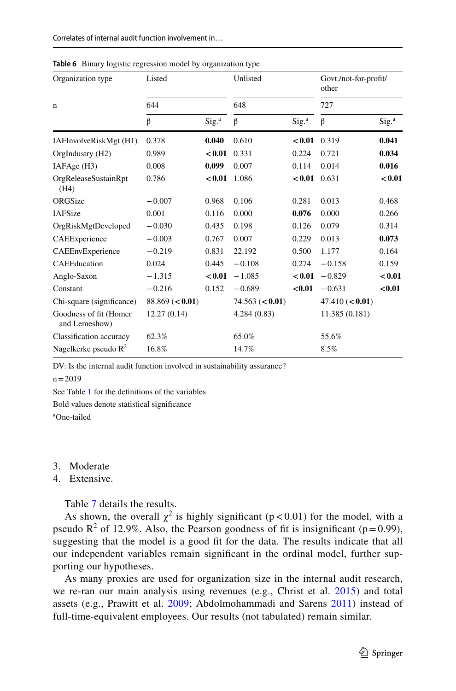| Organization type                       | Listed          |                   | Unlisted        |                   | Govt./not-for-profit/<br>other |                   |
|-----------------------------------------|-----------------|-------------------|-----------------|-------------------|--------------------------------|-------------------|
| $\mathbf n$                             | 644             |                   | 648             |                   | 727                            |                   |
|                                         | β               | Sig. <sup>a</sup> | β               | Sig. <sup>a</sup> | β                              | Sig. <sup>a</sup> |
| IAFInvolveRiskMgt (H1)                  | 0.378           | 0.040             | 0.610           | < 0.01            | 0.319                          | 0.041             |
| OrgIndustry (H2)                        | 0.989           | < 0.01            | 0.331           | 0.224             | 0.721                          | 0.034             |
| IAFAge (H3)                             | 0.008           | 0.099             | 0.007           | 0.114             | 0.014                          | 0.016             |
| OrgReleaseSustainRpt<br>(H4)            | 0.786           | < 0.01            | 1.086           | < 0.01            | 0.631                          | < 0.01            |
| ORGSize                                 | $-0.007$        | 0.968             | 0.106           | 0.281             | 0.013                          | 0.468             |
| <b>IAFSize</b>                          | 0.001           | 0.116             | 0.000           | 0.076             | 0.000                          | 0.266             |
| OrgRiskMgtDeveloped                     | $-0.030$        | 0.435             | 0.198           | 0.126             | 0.079                          | 0.314             |
| CAEExperience                           | $-0.003$        | 0.767             | 0.007           | 0.229             | 0.013                          | 0.073             |
| CAEEnvExperience                        | $-0.219$        | 0.831             | 22.192          | 0.500             | 1.177                          | 0.164             |
| CAEEducation                            | 0.024           | 0.445             | $-0.108$        | 0.274             | $-0.158$                       | 0.159             |
| Anglo-Saxon                             | $-1.315$        | < 0.01            | $-1.085$        | < 0.01            | $-0.829$                       | < 0.01            |
| Constant                                | $-0.216$        | 0.152             | $-0.689$        | < 0.01            | $-0.631$                       | < 0.01            |
| Chi-square (significance)               | 88.869 (< 0.01) |                   | 74.563 (< 0.01) |                   | 47.410 (< 0.01)                |                   |
| Goodness of fit (Homer<br>and Lemeshow) | 12.27(0.14)     |                   | 4.284(0.83)     |                   | 11.385 (0.181)                 |                   |
| Classification accuracy                 | 62.3%           |                   | 65.0%           |                   | 55.6%                          |                   |
| Nagelkerke pseudo $\mathbb{R}^2$        | 16.8%           |                   | 14.7%           |                   | 8.5%                           |                   |

<span id="page-22-0"></span>**Table 6** Binary logistic regression model by organization type

DV: Is the internal audit function involved in sustainability assurance?

 $n = 2019$ 

See Table [1](#page-14-0) for the defnitions of the variables

Bold values denote statistical signifcance a One-tailed

#### 3. Moderate

4. Extensive.

Table [7](#page-23-0) details the results.

As shown, the overall  $\chi^2$  is highly significant (p < 0.01) for the model, with a pseudo  $\mathbb{R}^2$  of 12.9%. Also, the Pearson goodness of fit is insignificant (p=0.99), suggesting that the model is a good ft for the data. The results indicate that all our independent variables remain signifcant in the ordinal model, further supporting our hypotheses.

As many proxies are used for organization size in the internal audit research, we re-ran our main analysis using revenues (e.g., Christ et al. [2015](#page-26-24)) and total assets (e.g., Prawitt et al. [2009](#page-28-26); Abdolmohammadi and Sarens [2011\)](#page-25-16) instead of full-time-equivalent employees. Our results (not tabulated) remain similar.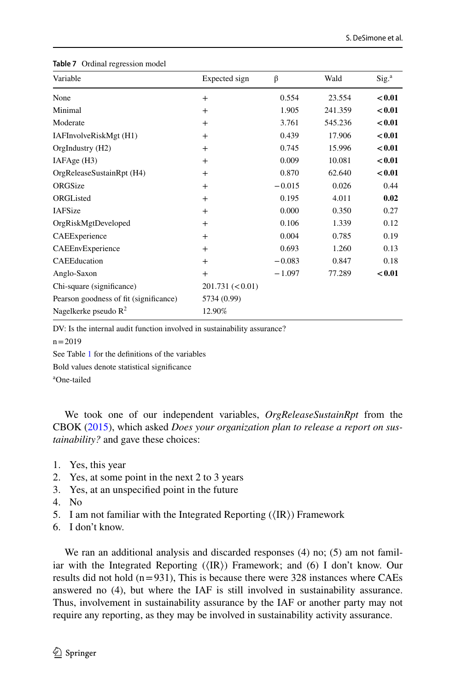| Variable                               | Expected sign    | β        | Wald    | Sig. <sup>a</sup> |
|----------------------------------------|------------------|----------|---------|-------------------|
| None                                   | $^{+}$           | 0.554    | 23.554  | < 0.01            |
| Minimal                                | $^{+}$           | 1.905    | 241.359 | < 0.01            |
| Moderate                               | $^{+}$           | 3.761    | 545.236 | < 0.01            |
| IAFInvolveRiskMgt (H1)                 | $^{+}$           | 0.439    | 17.906  | < 0.01            |
| OrgIndustry (H2)                       | $^{+}$           | 0.745    | 15.996  | < 0.01            |
| IAFAge (H3)                            | $^{+}$           | 0.009    | 10.081  | < 0.01            |
| OrgReleaseSustainRpt (H4)              | $^{+}$           | 0.870    | 62.640  | < 0.01            |
| ORGSize                                | $^{+}$           | $-0.015$ | 0.026   | 0.44              |
| ORGListed                              | $^{+}$           | 0.195    | 4.011   | 0.02              |
| <b>IAFSize</b>                         | $^{+}$           | 0.000    | 0.350   | 0.27              |
| OrgRiskMgtDeveloped                    | $^{+}$           | 0.106    | 1.339   | 0.12              |
| CAEExperience                          | $^{+}$           | 0.004    | 0.785   | 0.19              |
| CAEEnvExperience                       | $^{+}$           | 0.693    | 1.260   | 0.13              |
| CAEEducation                           | $^{+}$           | $-0.083$ | 0.847   | 0.18              |
| Anglo-Saxon                            | $^{+}$           | $-1.097$ | 77.289  | < 0.01            |
| Chi-square (significance)              | 201.731 (< 0.01) |          |         |                   |
| Pearson goodness of fit (significance) | 5734 (0.99)      |          |         |                   |
| Nagelkerke pseudo $R^2$                | 12.90%           |          |         |                   |

#### <span id="page-23-0"></span>**Table 7** Ordinal regression model

DV: Is the internal audit function involved in sustainability assurance?

 $n = 2019$ 

See Table [1](#page-14-0) for the defnitions of the variables

Bold values denote statistical signifcance

a One-tailed

We took one of our independent variables, *OrgReleaseSustainRpt* from the CBOK ([2015\)](#page-26-10), which asked *Does your organization plan to release a report on sustainability?* and gave these choices:

- 1. Yes, this year
- 2. Yes, at some point in the next 2 to 3 years
- 3. Yes, at an unspecifed point in the future
- 4. No
- 5. I am not familiar with the Integrated Reporting  $(\langle IR \rangle)$  Framework
- 6. I don't know.

We ran an additional analysis and discarded responses (4) no; (5) am not familiar with the Integrated Reporting  $(\langle \text{IR} \rangle)$  Framework; and (6) I don't know. Our results did not hold  $(n=931)$ , This is because there were 328 instances where CAEs answered no (4), but where the IAF is still involved in sustainability assurance. Thus, involvement in sustainability assurance by the IAF or another party may not require any reporting, as they may be involved in sustainability activity assurance.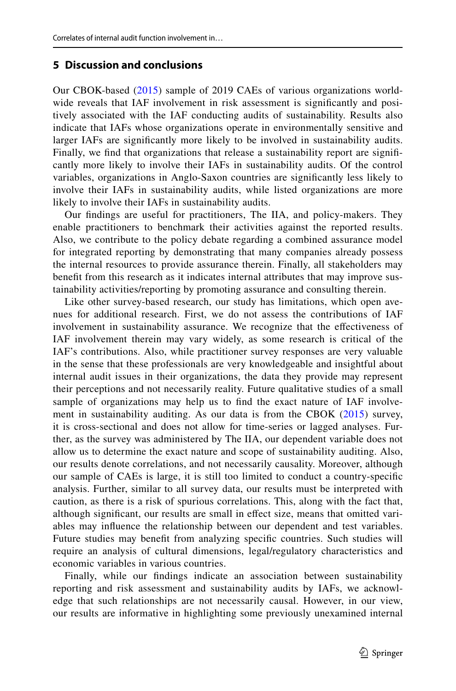# **5 Discussion and conclusions**

Our CBOK-based ([2015\)](#page-26-10) sample of 2019 CAEs of various organizations worldwide reveals that IAF involvement in risk assessment is signifcantly and positively associated with the IAF conducting audits of sustainability. Results also indicate that IAFs whose organizations operate in environmentally sensitive and larger IAFs are signifcantly more likely to be involved in sustainability audits. Finally, we fnd that organizations that release a sustainability report are signifcantly more likely to involve their IAFs in sustainability audits. Of the control variables, organizations in Anglo-Saxon countries are signifcantly less likely to involve their IAFs in sustainability audits, while listed organizations are more likely to involve their IAFs in sustainability audits.

Our fndings are useful for practitioners, The IIA, and policy-makers. They enable practitioners to benchmark their activities against the reported results. Also, we contribute to the policy debate regarding a combined assurance model for integrated reporting by demonstrating that many companies already possess the internal resources to provide assurance therein. Finally, all stakeholders may beneft from this research as it indicates internal attributes that may improve sustainability activities/reporting by promoting assurance and consulting therein.

Like other survey-based research, our study has limitations, which open avenues for additional research. First, we do not assess the contributions of IAF involvement in sustainability assurance. We recognize that the efectiveness of IAF involvement therein may vary widely, as some research is critical of the IAF's contributions. Also, while practitioner survey responses are very valuable in the sense that these professionals are very knowledgeable and insightful about internal audit issues in their organizations, the data they provide may represent their perceptions and not necessarily reality. Future qualitative studies of a small sample of organizations may help us to fnd the exact nature of IAF involve-ment in sustainability auditing. As our data is from the CBOK ([2015\)](#page-26-10) survey, it is cross-sectional and does not allow for time-series or lagged analyses. Further, as the survey was administered by The IIA, our dependent variable does not allow us to determine the exact nature and scope of sustainability auditing. Also, our results denote correlations, and not necessarily causality. Moreover, although our sample of CAEs is large, it is still too limited to conduct a country-specifc analysis. Further, similar to all survey data, our results must be interpreted with caution, as there is a risk of spurious correlations. This, along with the fact that, although significant, our results are small in effect size, means that omitted variables may infuence the relationship between our dependent and test variables. Future studies may beneft from analyzing specifc countries. Such studies will require an analysis of cultural dimensions, legal/regulatory characteristics and economic variables in various countries.

Finally, while our fndings indicate an association between sustainability reporting and risk assessment and sustainability audits by IAFs, we acknowledge that such relationships are not necessarily causal. However, in our view, our results are informative in highlighting some previously unexamined internal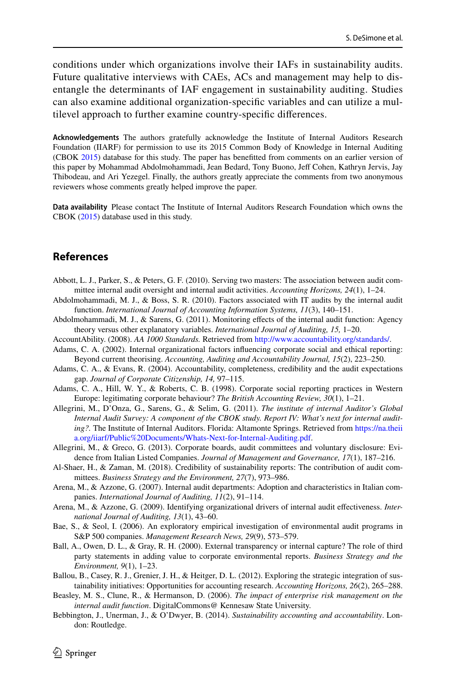conditions under which organizations involve their IAFs in sustainability audits. Future qualitative interviews with CAEs, ACs and management may help to disentangle the determinants of IAF engagement in sustainability auditing. Studies can also examine additional organization-specifc variables and can utilize a multilevel approach to further examine country-specifc diferences.

**Acknowledgements** The authors gratefully acknowledge the Institute of Internal Auditors Research Foundation (IIARF) for permission to use its 2015 Common Body of Knowledge in Internal Auditing (CBOK [2015](#page-26-10)) database for this study. The paper has beneftted from comments on an earlier version of this paper by Mohammad Abdolmohammadi, Jean Bedard, Tony Buono, Jeff Cohen, Kathryn Jervis, Jay Thibodeau, and Ari Yezegel. Finally, the authors greatly appreciate the comments from two anonymous reviewers whose comments greatly helped improve the paper.

**Data availability** Please contact The Institute of Internal Auditors Research Foundation which owns the CBOK ([2015\)](#page-26-10) database used in this study.

# **References**

- <span id="page-25-10"></span>Abbott, L. J., Parker, S., & Peters, G. F. (2010). Serving two masters: The association between audit committee internal audit oversight and internal audit activities. *Accounting Horizons, 24*(1), 1–24.
- <span id="page-25-14"></span>Abdolmohammadi, M. J., & Boss, S. R. (2010). Factors associated with IT audits by the internal audit function. *International Journal of Accounting Information Systems, 11*(3), 140–151.
- <span id="page-25-16"></span>Abdolmohammadi, M. J., & Sarens, G. (2011). Monitoring efects of the internal audit function: Agency theory versus other explanatory variables. *International Journal of Auditing, 15,* 1–20.
- <span id="page-25-6"></span>AccountAbility. (2008). *AA 1000 Standards.* Retrieved from [http://www.accountability.org/standards/.](http://www.accountability.org/standards/)
- <span id="page-25-1"></span>Adams, C. A. (2002). Internal organizational factors infuencing corporate social and ethical reporting: Beyond current theorising. *Accounting, Auditing and Accountability Journal, 15*(2), 223–250.
- <span id="page-25-2"></span>Adams, C. A., & Evans, R. (2004). Accountability, completeness, credibility and the audit expectations gap. *Journal of Corporate Citizenship, 14,* 97–115.
- <span id="page-25-13"></span>Adams, C. A., Hill, W. Y., & Roberts, C. B. (1998). Corporate social reporting practices in Western Europe: legitimating corporate behaviour? *The British Accounting Review, 30*(1), 1–21.
- <span id="page-25-5"></span>Allegrini, M., D'Onza, G., Sarens, G., & Selim, G. (2011). *The institute of internal Auditor's Global Internal Audit Survey: A component of the CBOK study. Report IV: What's next for internal auditing?.* The Institute of Internal Auditors. Florida: Altamonte Springs. Retrieved from [https://na.theii](https://na.theiia.org/iiarf/Public%20Documents/Whats-Next-for-Internal-Auditing.pdf) [a.org/iiarf/Public%20Documents/Whats-Next-for-Internal-Auditing.pdf.](https://na.theiia.org/iiarf/Public%20Documents/Whats-Next-for-Internal-Auditing.pdf)
- <span id="page-25-4"></span>Allegrini, M., & Greco, G. (2013). Corporate boards, audit committees and voluntary disclosure: Evidence from Italian Listed Companies. *Journal of Management and Governance, 17*(1), 187–216.
- <span id="page-25-7"></span>Al-Shaer, H., & Zaman, M. (2018). Credibility of sustainability reports: The contribution of audit committees. *Business Strategy and the Environment, 27*(7), 973–986.
- <span id="page-25-15"></span>Arena, M., & Azzone, G. (2007). Internal audit departments: Adoption and characteristics in Italian companies. *International Journal of Auditing, 11*(2), 91–114.
- <span id="page-25-8"></span>Arena, M., & Azzone, G. (2009). Identifying organizational drivers of internal audit efectiveness. *International Journal of Auditing, 13*(1), 43–60.
- <span id="page-25-0"></span>Bae, S., & Seol, I. (2006). An exploratory empirical investigation of environmental audit programs in S&P 500 companies. *Management Research News, 29*(9), 573–579.
- <span id="page-25-3"></span>Ball, A., Owen, D. L., & Gray, R. H. (2000). External transparency or internal capture? The role of third party statements in adding value to corporate environmental reports. *Business Strategy and the Environment, 9*(1), 1–23.
- <span id="page-25-12"></span>Ballou, B., Casey, R. J., Grenier, J. H., & Heitger, D. L. (2012). Exploring the strategic integration of sustainability initiatives: Opportunities for accounting research. *Accounting Horizons, 26*(2), 265–288.
- <span id="page-25-9"></span>Beasley, M. S., Clune, R., & Hermanson, D. (2006). *The impact of enterprise risk management on the internal audit function*. DigitalCommons@ Kennesaw State University.
- <span id="page-25-11"></span>Bebbington, J., Unerman, J., & O'Dwyer, B. (2014). *Sustainability accounting and accountability*. London: Routledge.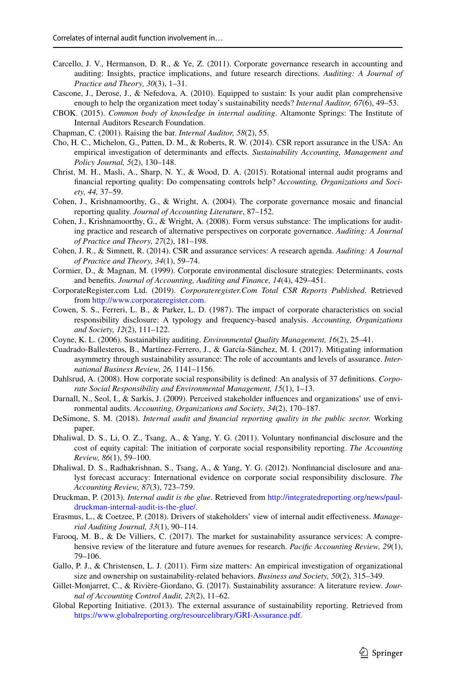- <span id="page-26-6"></span>Carcello, J. V., Hermanson, D. R., & Ye, Z. (2011). Corporate governance research in accounting and auditing: Insights, practice implications, and future research directions. *Auditing: A Journal of Practice and Theory, 30*(3), 1–31.
- <span id="page-26-19"></span>Cascone, J., Derose, J., & Nefedova, A. (2010). Equipped to sustain: Is your audit plan comprehensive enough to help the organization meet today's sustainability needs? *Internal Auditor, 67*(6), 49–53.
- <span id="page-26-10"></span>CBOK. (2015). *Common body of knowledge in internal auditing*. Altamonte Springs: The Institute of Internal Auditors Research Foundation.
- <span id="page-26-17"></span>Chapman, C. (2001). Raising the bar. *Internal Auditor, 58*(2), 55.
- <span id="page-26-3"></span>Cho, H. C., Michelon, G., Patten, D. M., & Roberts, R. W. (2014). CSR report assurance in the USA: An empirical investigation of determinants and efects. *Sustainability Accounting, Management and Policy Journal, 5*(2), 130–148.
- <span id="page-26-24"></span>Christ, M. H., Masli, A., Sharp, N. Y., & Wood, D. A. (2015). Rotational internal audit programs and fnancial reporting quality: Do compensating controls help? *Accounting, Organizations and Society, 44,* 37–59.
- <span id="page-26-4"></span>Cohen, J., Krishnamoorthy, G., & Wright, A. (2004). The corporate governance mosaic and fnancial reporting quality. *Journal of Accounting Literature*, 87–152.
- <span id="page-26-7"></span>Cohen, J., Krishnamoorthy, G., & Wright, A. (2008). Form versus substance: The implications for auditing practice and research of alternative perspectives on corporate governance. *Auditing: A Journal of Practice and Theory, 27*(2), 181–198.
- <span id="page-26-2"></span>Cohen, J. R., & Simnett, R. (2014). CSR and assurance services: A research agenda. *Auditing: A Journal of Practice and Theory, 34*(1), 59–74.
- <span id="page-26-11"></span>Cormier, D., & Magnan, M. (1999). Corporate environmental disclosure strategies: Determinants, costs and benefts. *Journal of Accounting, Auditing and Finance, 14*(4), 429–451.
- <span id="page-26-14"></span>CorporateRegister.com Ltd. (2019). *Corporateregister.Com Total CSR Reports Published*. Retrieved from [http://www.corporateregister.com.](http://www.corporateregister.com)
- <span id="page-26-21"></span>Cowen, S. S., Ferreri, L. B., & Parker, L. D. (1987). The impact of corporate characteristics on social responsibility disclosure: A typology and frequency-based analysis. *Accounting, Organizations and Society, 12*(2), 111–122.
- <span id="page-26-1"></span>Coyne, K. L. (2006). Sustainability auditing. *Environmental Quality Management, 16*(2), 25–41.
- <span id="page-26-16"></span>Cuadrado-Ballesteros, B., Martínez-Ferrero, J., & García-Sánchez, M. I. (2017). Mitigating information asymmetry through sustainability assurance: The role of accountants and levels of assurance. *International Business Review, 26,* 1141–1156.
- <span id="page-26-15"></span>Dahlsrud, A. (2008). How corporate social responsibility is defned: An analysis of 37 defnitions. *Corporate Social Responsibility and Environmental Management, 15*(1), 1–13.
- <span id="page-26-5"></span>Darnall, N., Seol, I., & Sarkis, J. (2009). Perceived stakeholder infuences and organizations' use of environmental audits. *Accounting, Organizations and Society, 34*(2), 170–187.
- <span id="page-26-23"></span>DeSimone, S. M. (2018). *Internal audit and fnancial reporting quality in the public sector.* Working paper.
- <span id="page-26-12"></span>Dhaliwal, D. S., Li, O. Z., Tsang, A., & Yang, Y. G. (2011). Voluntary nonfnancial disclosure and the cost of equity capital: The initiation of corporate social responsibility reporting. *The Accounting Review, 86*(1), 59–100.
- <span id="page-26-13"></span>Dhaliwal, D. S., Radhakrishnan, S., Tsang, A., & Yang, Y. G. (2012). Nonfnancial disclosure and analyst forecast accuracy: International evidence on corporate social responsibility disclosure. *The Accounting Review, 87*(3), 723–759.
- <span id="page-26-20"></span>Druckman, P. (2013). *Internal audit is the glue*. Retrieved from [http://integratedreporting.org/news/paul](http://integratedreporting.org/news/paul-druckman-internal-audit-is-the-glue/)[druckman-internal-audit-is-the-glue/.](http://integratedreporting.org/news/paul-druckman-internal-audit-is-the-glue/)
- <span id="page-26-18"></span>Erasmus, L., & Coetzee, P. (2018). Drivers of stakeholders' view of internal audit efectiveness. *Managerial Auditing Journal, 33*(1), 90–114.
- <span id="page-26-8"></span>Farooq, M. B., & De Villiers, C. (2017). The market for sustainability assurance services: A comprehensive review of the literature and future avenues for research. *Pacifc Accounting Review, 29*(1), 79–106.
- <span id="page-26-22"></span>Gallo, P. J., & Christensen, L. J. (2011). Firm size matters: An empirical investigation of organizational size and ownership on sustainability-related behaviors. *Business and Society, 50*(2), 315–349.
- <span id="page-26-9"></span>Gillet-Monjarret, C., & Rivière-Giordano, G. (2017). Sustainability assurance: A literature review. *Journal of Accounting Control Audit, 23*(2), 11–62.
- <span id="page-26-0"></span>Global Reporting Initiative. (2013). The external assurance of sustainability reporting. Retrieved from [https://www.globalreporting.org/resourcelibrary/GRI-Assurance.pdf.](https://www.globalreporting.org/resourcelibrary/GRI-Assurance.pdf)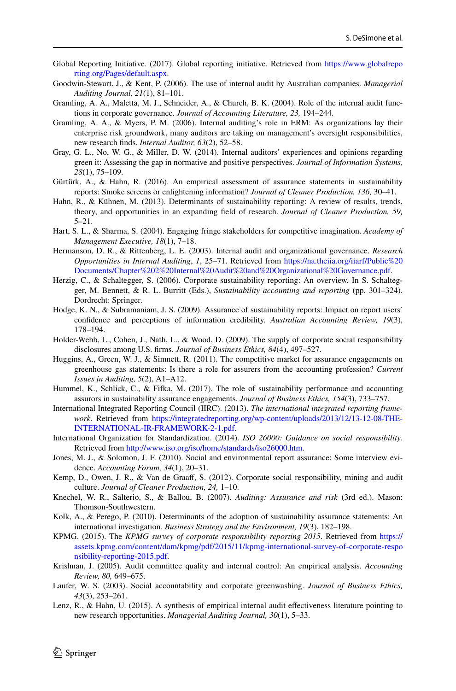- <span id="page-27-2"></span>Global Reporting Initiative. (2017). Global reporting initiative. Retrieved from [https://www.globalrepo](https://www.globalreporting.org/Pages/default.aspx) [rting.org/Pages/default.aspx.](https://www.globalreporting.org/Pages/default.aspx)
- <span id="page-27-23"></span>Goodwin-Stewart, J., & Kent, P. (2006). The use of internal audit by Australian companies. *Managerial Auditing Journal, 21*(1), 81–101.
- <span id="page-27-13"></span>Gramling, A. A., Maletta, M. J., Schneider, A., & Church, B. K. (2004). Role of the internal audit functions in corporate governance. *Journal of Accounting Literature, 23,* 194–244.
- <span id="page-27-14"></span>Gramling, A. A., & Myers, P. M. (2006). Internal auditing's role in ERM: As organizations lay their enterprise risk groundwork, many auditors are taking on management's oversight responsibilities, new research fnds. *Internal Auditor, 63*(2), 52–58.
- <span id="page-27-4"></span>Gray, G. L., No, W. G., & Miller, D. W. (2014). Internal auditors' experiences and opinions regarding green it: Assessing the gap in normative and positive perspectives. *Journal of Information Systems, 28*(1), 75–109.
- <span id="page-27-9"></span>Gürtürk, A., & Hahn, R. (2016). An empirical assessment of assurance statements in sustainability reports: Smoke screens or enlightening information? *Journal of Cleaner Production, 136,* 30–41.
- <span id="page-27-1"></span>Hahn, R., & Kühnen, M. (2013). Determinants of sustainability reporting: A review of results, trends, theory, and opportunities in an expanding feld of research. *Journal of Cleaner Production, 59,* 5–21.
- <span id="page-27-22"></span>Hart, S. L., & Sharma, S. (2004). Engaging fringe stakeholders for competitive imagination. *Academy of Management Executive, 18*(1), 7–18.
- <span id="page-27-17"></span>Hermanson, D. R., & Rittenberg, L. E. (2003). Internal audit and organizational governance. *Research Opportunities in Internal Auditing*, *1*, 25–71. Retrieved from [https://na.theiia.org/iiarf/Public%20](https://na.theiia.org/iiarf/Public%20Documents/Chapter%202%20Internal%20Audit%20and%20Organizational%20Governance.pdf) [Documents/Chapter%202%20Internal%20Audit%20and%20Organizational%20Governance.pdf.](https://na.theiia.org/iiarf/Public%20Documents/Chapter%202%20Internal%20Audit%20and%20Organizational%20Governance.pdf)
- <span id="page-27-0"></span>Herzig, C., & Schaltegger, S. (2006). Corporate sustainability reporting: An overview. In S. Schaltegger, M. Bennett, & R. L. Burritt (Eds.), *Sustainability accounting and reporting* (pp. 301–324). Dordrecht: Springer.
- <span id="page-27-20"></span>Hodge, K. N., & Subramaniam, J. S. (2009). Assurance of sustainability reports: Impact on report users' confdence and perceptions of information credibility. *Australian Accounting Review, 19*(3), 178–194.
- <span id="page-27-7"></span>Holder-Webb, L., Cohen, J., Nath, L., & Wood, D. (2009). The supply of corporate social responsibility disclosures among U.S. frms. *Journal of Business Ethics, 84*(4), 497–527.
- <span id="page-27-10"></span>Huggins, A., Green, W. J., & Simnett, R. (2011). The competitive market for assurance engagements on greenhouse gas statements: Is there a role for assurers from the accounting profession? *Current Issues in Auditing, 5*(2), A1–A12.
- <span id="page-27-11"></span>Hummel, K., Schlick, C., & Fifka, M. (2017). The role of sustainability performance and accounting assurors in sustainability assurance engagements. *Journal of Business Ethics, 154*(3), 733–757.
- <span id="page-27-5"></span>International Integrated Reporting Council (IIRC). (2013). *The international integrated reporting framework*. Retrieved from [https://integratedreporting.org/wp-content/uploads/2013/12/13-12-08-THE-](https://integratedreporting.org/wp-content/uploads/2013/12/13-12-08-THE-INTERNATIONAL-IR-FRAMEWORK-2-1.pdf)[INTERNATIONAL-IR-FRAMEWORK-2-1.pdf](https://integratedreporting.org/wp-content/uploads/2013/12/13-12-08-THE-INTERNATIONAL-IR-FRAMEWORK-2-1.pdf).
- <span id="page-27-8"></span>International Organization for Standardization. (2014). *ISO 26000: Guidance on social responsibility*. Retrieved from [http://www.iso.org/iso/home/standards/iso26000.htm.](http://www.iso.org/iso/home/standards/iso26000.htm)
- <span id="page-27-6"></span>Jones, M. J., & Solomon, J. F. (2010). Social and environmental report assurance: Some interview evidence. *Accounting Forum, 34*(1), 20–31.
- <span id="page-27-16"></span>Kemp, D., Owen, J. R., & Van de Graaff, S. (2012). Corporate social responsibility, mining and audit culture. *Journal of Cleaner Production, 24,* 1–10.
- <span id="page-27-18"></span>Knechel, W. R., Salterio, S., & Ballou, B. (2007). *Auditing: Assurance and risk* (3rd ed.). Mason: Thomson-Southwestern.
- <span id="page-27-19"></span>Kolk, A., & Perego, P. (2010). Determinants of the adoption of sustainability assurance statements: An international investigation. *Business Strategy and the Environment, 19*(3), 182–198.
- <span id="page-27-3"></span>KPMG. (2015). The *KPMG survey of corporate responsibility reporting 2015*. Retrieved from [https://](https://assets.kpmg.com/content/dam/kpmg/pdf/2015/11/kpmg-international-survey-of-corporate-responsibility-reporting-2015.pdf) [assets.kpmg.com/content/dam/kpmg/pdf/2015/11/kpmg-international-survey-of-corporate-respo](https://assets.kpmg.com/content/dam/kpmg/pdf/2015/11/kpmg-international-survey-of-corporate-responsibility-reporting-2015.pdf) [nsibility-reporting-2015.pdf](https://assets.kpmg.com/content/dam/kpmg/pdf/2015/11/kpmg-international-survey-of-corporate-responsibility-reporting-2015.pdf).
- <span id="page-27-12"></span>Krishnan, J. (2005). Audit committee quality and internal control: An empirical analysis. *Accounting Review, 80,* 649–675.
- <span id="page-27-21"></span>Laufer, W. S. (2003). Social accountability and corporate greenwashing. *Journal of Business Ethics, 43*(3), 253–261.
- <span id="page-27-15"></span>Lenz, R., & Hahn, U. (2015). A synthesis of empirical internal audit efectiveness literature pointing to new research opportunities. *Managerial Auditing Journal, 30*(1), 5–33.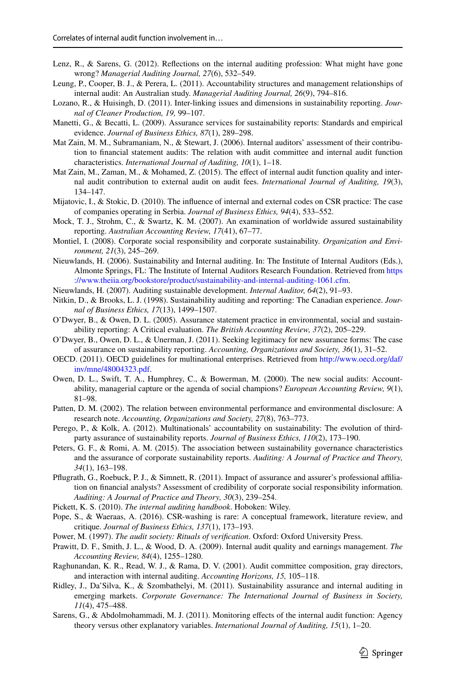- <span id="page-28-17"></span>Lenz, R., & Sarens, G. (2012). Refections on the internal auditing profession: What might have gone wrong? *Managerial Auditing Journal, 27*(6), 532–549.
- <span id="page-28-22"></span>Leung, P., Cooper, B. J., & Perera, L. (2011). Accountability structures and management relationships of internal audit: An Australian study. *Managerial Auditing Journal, 26*(9), 794–816.
- <span id="page-28-0"></span>Lozano, R., & Huisingh, D. (2011). Inter-linking issues and dimensions in sustainability reporting. *Journal of Cleaner Production, 19,* 99–107.
- <span id="page-28-13"></span>Manetti, G., & Becatti, L. (2009). Assurance services for sustainability reports: Standards and empirical evidence. *Journal of Business Ethics, 87*(1), 289–298.
- <span id="page-28-25"></span>Mat Zain, M. M., Subramaniam, N., & Stewart, J. (2006). Internal auditors' assessment of their contribution to fnancial statement audits: The relation with audit committee and internal audit function characteristics. *International Journal of Auditing, 10*(1), 1–18.
- <span id="page-28-24"></span>Mat Zain, M., Zaman, M., & Mohamed, Z. (2015). The effect of internal audit function quality and internal audit contribution to external audit on audit fees. *International Journal of Auditing, 19*(3), 134–147.
- <span id="page-28-4"></span>Mijatovic, I., & Stokic, D. (2010). The infuence of internal and external codes on CSR practice: The case of companies operating in Serbia. *Journal of Business Ethics, 94*(4), 533–552.
- <span id="page-28-3"></span>Mock, T. J., Strohm, C., & Swartz, K. M. (2007). An examination of worldwide assured sustainability reporting. *Australian Accounting Review, 17*(41), 67–77.
- <span id="page-28-11"></span>Montiel, I. (2008). Corporate social responsibility and corporate sustainability. *Organization and Environment, 21*(3), 245–269.
- <span id="page-28-7"></span>Nieuwlands, H. (2006). Sustainability and Internal auditing. In: The Institute of Internal Auditors (Eds.), Almonte Springs, FL: The Institute of Internal Auditors Research Foundation. Retrieved from [https](https://www.theiia.org/bookstore/product/sustainability-and-internal-auditing-1061.cfm) [://www.theiia.org/bookstore/product/sustainability-and-internal-auditing-1061.cfm.](https://www.theiia.org/bookstore/product/sustainability-and-internal-auditing-1061.cfm)
- <span id="page-28-10"></span>Nieuwlands, H. (2007). Auditing sustainable development. *Internal Auditor, 64*(2), 91–93.
- <span id="page-28-2"></span>Nitkin, D., & Brooks, L. J. (1998). Sustainability auditing and reporting: The Canadian experience. *Journal of Business Ethics, 17*(13), 1499–1507.
- <span id="page-28-6"></span>O'Dwyer, B., & Owen, D. L. (2005). Assurance statement practice in environmental, social and sustainability reporting: A Critical evaluation. *The British Accounting Review, 37*(2), 205–229.
- <span id="page-28-8"></span>O'Dwyer, B., Owen, D. L., & Unerman, J. (2011). Seeking legitimacy for new assurance forms: The case of assurance on sustainability reporting. *Accounting, Organizations and Society, 36*(1), 31–52.
- <span id="page-28-14"></span>OECD. (2011). OECD guidelines for multinational enterprises. Retrieved from [http://www.oecd.org/daf/](http://www.oecd.org/daf/inv/mne/48004323.pdf) [inv/mne/48004323.pdf](http://www.oecd.org/daf/inv/mne/48004323.pdf).
- <span id="page-28-9"></span>Owen, D. L., Swift, T. A., Humphrey, C., & Bowerman, M. (2000). The new social audits: Accountability, managerial capture or the agenda of social champions? *European Accounting Review, 9*(1), 81–98.
- <span id="page-28-19"></span>Patten, D. M. (2002). The relation between environmental performance and environmental disclosure: A research note. *Accounting, Organizations and Society, 27*(8), 763–773.
- <span id="page-28-5"></span>Perego, P., & Kolk, A. (2012). Multinationals' accountability on sustainability: The evolution of thirdparty assurance of sustainability reports. *Journal of Business Ethics, 110*(2), 173–190.
- <span id="page-28-18"></span>Peters, G. F., & Romi, A. M. (2015). The association between sustainability governance characteristics and the assurance of corporate sustainability reports. *Auditing: A Journal of Practice and Theory, 34*(1), 163–198.
- <span id="page-28-20"></span>Pflugrath, G., Roebuck, P. J., & Simnett, R. (2011). Impact of assurance and assurer's professional affiliation on fnancial analysts? Assessment of credibility of corporate social responsibility information. *Auditing: A Journal of Practice and Theory, 30*(3), 239–254.
- <span id="page-28-16"></span>Pickett, K. S. (2010). *The internal auditing handbook*. Hoboken: Wiley.
- <span id="page-28-21"></span>Pope, S., & Waeraas, A. (2016). CSR-washing is rare: A conceptual framework, literature review, and critique. *Journal of Business Ethics, 137*(1), 173–193.
- <span id="page-28-12"></span>Power, M. (1997). *The audit society: Rituals of verifcation*. Oxford: Oxford University Press.
- <span id="page-28-26"></span>Prawitt, D. F., Smith, J. L., & Wood, D. A. (2009). Internal audit quality and earnings management. *The Accounting Review, 84*(4), 1255–1280.
- <span id="page-28-15"></span>Raghunandan, K. R., Read, W. J., & Rama, D. V. (2001). Audit committee composition, gray directors, and interaction with internal auditing. *Accounting Horizons, 15,* 105–118.
- <span id="page-28-1"></span>Ridley, J., Da'Silva, K., & Szombathelyi, M. (2011). Sustainability assurance and internal auditing in emerging markets. *Corporate Governance: The International Journal of Business in Society, 11*(4), 475–488.
- <span id="page-28-23"></span>Sarens, G., & Abdolmohammadi, M. J. (2011). Monitoring efects of the internal audit function: Agency theory versus other explanatory variables. *International Journal of Auditing, 15*(1), 1–20.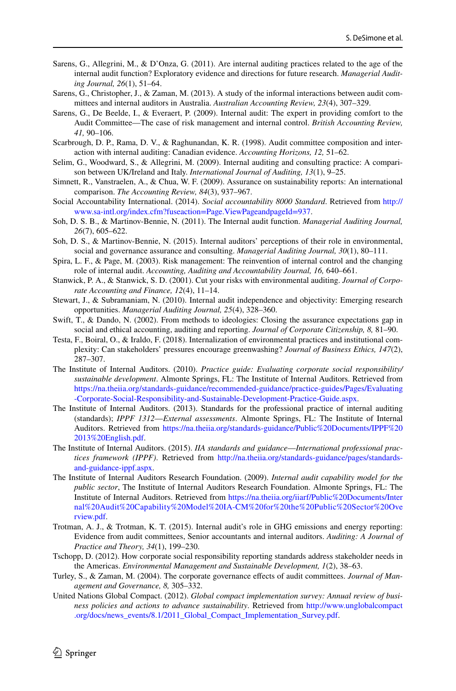- <span id="page-29-19"></span>Sarens, G., Allegrini, M., & D'Onza, G. (2011). Are internal auditing practices related to the age of the internal audit function? Exploratory evidence and directions for future research. *Managerial Auditing Journal, 26*(1), 51–64.
- <span id="page-29-9"></span>Sarens, G., Christopher, J., & Zaman, M. (2013). A study of the informal interactions between audit committees and internal auditors in Australia. *Australian Accounting Review, 23*(4), 307–329.
- <span id="page-29-10"></span>Sarens, G., De Beelde, I., & Everaert, P. (2009). Internal audit: The expert in providing comfort to the Audit Committee—The case of risk management and internal control. *British Accounting Review, 41,* 90–106.
- <span id="page-29-11"></span>Scarbrough, D. P., Rama, D. V., & Raghunandan, K. R. (1998). Audit committee composition and interaction with internal auditing: Canadian evidence. *Accounting Horizons, 12,* 51–62.
- <span id="page-29-17"></span>Selim, G., Woodward, S., & Allegrini, M. (2009). Internal auditing and consulting practice: A comparison between UK/Ireland and Italy. *International Journal of Auditing, 13*(1), 9–25.
- <span id="page-29-2"></span>Simnett, R., Vanstraelen, A., & Chua, W. F. (2009). Assurance on sustainability reports: An international comparison. *The Accounting Review, 84*(3), 937–967.
- <span id="page-29-8"></span>Social Accountability International. (2014). *Social accountability 8000 Standard*. Retrieved from [http://](http://www.sa-intl.org/index.cfm%3ffuseaction%3dPage.ViewPageandpageId%3d937) [www.sa-intl.org/index.cfm?fuseaction=Page.ViewPageandpageId=937](http://www.sa-intl.org/index.cfm%3ffuseaction%3dPage.ViewPageandpageId%3d937).
- <span id="page-29-15"></span>Soh, D. S. B., & Martinov-Bennie, N. (2011). The Internal audit function. *Managerial Auditing Journal, 26*(7), 605–622.
- <span id="page-29-1"></span>Soh, D. S., & Martinov-Bennie, N. (2015). Internal auditors' perceptions of their role in environmental, social and governance assurance and consulting. *Managerial Auditing Journal, 30*(1), 80–111.
- <span id="page-29-12"></span>Spira, L. F., & Page, M. (2003). Risk management: The reinvention of internal control and the changing role of internal audit. *Accounting, Auditing and Accountability Journal, 16,* 640–661.
- <span id="page-29-18"></span>Stanwick, P. A., & Stanwick, S. D. (2001). Cut your risks with environmental auditing. *Journal of Corporate Accounting and Finance, 12*(4), 11–14.
- <span id="page-29-16"></span>Stewart, J., & Subramaniam, N. (2010). Internal audit independence and objectivity: Emerging research opportunities. *Managerial Auditing Journal, 25*(4), 328–360.
- <span id="page-29-5"></span>Swift, T., & Dando, N. (2002). From methods to ideologies: Closing the assurance expectations gap in social and ethical accounting, auditing and reporting. *Journal of Corporate Citizenship, 8,* 81–90.
- <span id="page-29-21"></span>Testa, F., Boiral, O., & Iraldo, F. (2018). Internalization of environmental practices and institutional complexity: Can stakeholders' pressures encourage greenwashing? *Journal of Business Ethics, 147*(2), 287–307.
- <span id="page-29-3"></span>The Institute of Internal Auditors. (2010). *Practice guide: Evaluating corporate social responsibility/ sustainable development*. Almonte Springs, FL: The Institute of Internal Auditors. Retrieved from [https://na.theiia.org/standards-guidance/recommended-guidance/practice-guides/Pages/Evaluating](https://na.theiia.org/standards-guidance/recommended-guidance/practice-guides/Pages/Evaluating-Corporate-Social-Responsibility-and-Sustainable-Development-Practice-Guide.aspx) [-Corporate-Social-Responsibility-and-Sustainable-Development-Practice-Guide.aspx](https://na.theiia.org/standards-guidance/recommended-guidance/practice-guides/Pages/Evaluating-Corporate-Social-Responsibility-and-Sustainable-Development-Practice-Guide.aspx).
- <span id="page-29-6"></span>The Institute of Internal Auditors. (2013). Standards for the professional practice of internal auditing (standards); *IPPF 1312*—*External assessments*. Almonte Springs, FL: The Institute of Internal Auditors. Retrieved from [https://na.theiia.org/standards-guidance/Public%20Documents/IPPF%20](https://na.theiia.org/standards-guidance/Public%20Documents/IPPF%202013%20English.pdf) [2013%20English.pdf.](https://na.theiia.org/standards-guidance/Public%20Documents/IPPF%202013%20English.pdf)
- <span id="page-29-14"></span>The Institute of Internal Auditors. (2015). *IIA standards and guidance*—*International professional practices framework (IPPF)*. Retrieved from [http://na.theiia.org/standards-guidance/pages/standards](http://na.theiia.org/standards-guidance/pages/standards-and-guidance-ippf.aspx)[and-guidance-ippf.aspx.](http://na.theiia.org/standards-guidance/pages/standards-and-guidance-ippf.aspx)
- <span id="page-29-20"></span>The Institute of Internal Auditors Research Foundation. (2009). *Internal audit capability model for the public sector*, The Institute of Internal Auditors Research Foundation. Almonte Springs, FL: The Institute of Internal Auditors. Retrieved from [https://na.theiia.org/iiarf/Public%20Documents/Inter](https://na.theiia.org/iiarf/Public%20Documents/Internal%20Audit%20Capability%20Model%20IA-CM%20for%20the%20Public%20Sector%20Overview.pdf) [nal%20Audit%20Capability%20Model%20IA-CM%20for%20the%20Public%20Sector%20Ove](https://na.theiia.org/iiarf/Public%20Documents/Internal%20Audit%20Capability%20Model%20IA-CM%20for%20the%20Public%20Sector%20Overview.pdf) [rview.pdf.](https://na.theiia.org/iiarf/Public%20Documents/Internal%20Audit%20Capability%20Model%20IA-CM%20for%20the%20Public%20Sector%20Overview.pdf)
- <span id="page-29-4"></span>Trotman, A. J., & Trotman, K. T. (2015). Internal audit's role in GHG emissions and energy reporting: Evidence from audit committees, Senior accountants and internal auditors. *Auditing: A Journal of Practice and Theory, 34*(1), 199–230.
- <span id="page-29-7"></span>Tschopp, D. (2012). How corporate social responsibility reporting standards address stakeholder needs in the Americas. *Environmental Management and Sustainable Development, 1*(2), 38–63.
- <span id="page-29-13"></span>Turley, S., & Zaman, M. (2004). The corporate governance efects of audit committees. *Journal of Management and Governance, 8,* 305–332.
- <span id="page-29-0"></span>United Nations Global Compact. (2012). *Global compact implementation survey: Annual review of business policies and actions to advance sustainability*. Retrieved from [http://www.unglobalcompact](http://www.unglobalcompact.org/docs/news_events/8.1/2011_Global_Compact_Implementation_Survey.pdf) [.org/docs/news\\_events/8.1/2011\\_Global\\_Compact\\_Implementation\\_Survey.pdf.](http://www.unglobalcompact.org/docs/news_events/8.1/2011_Global_Compact_Implementation_Survey.pdf)